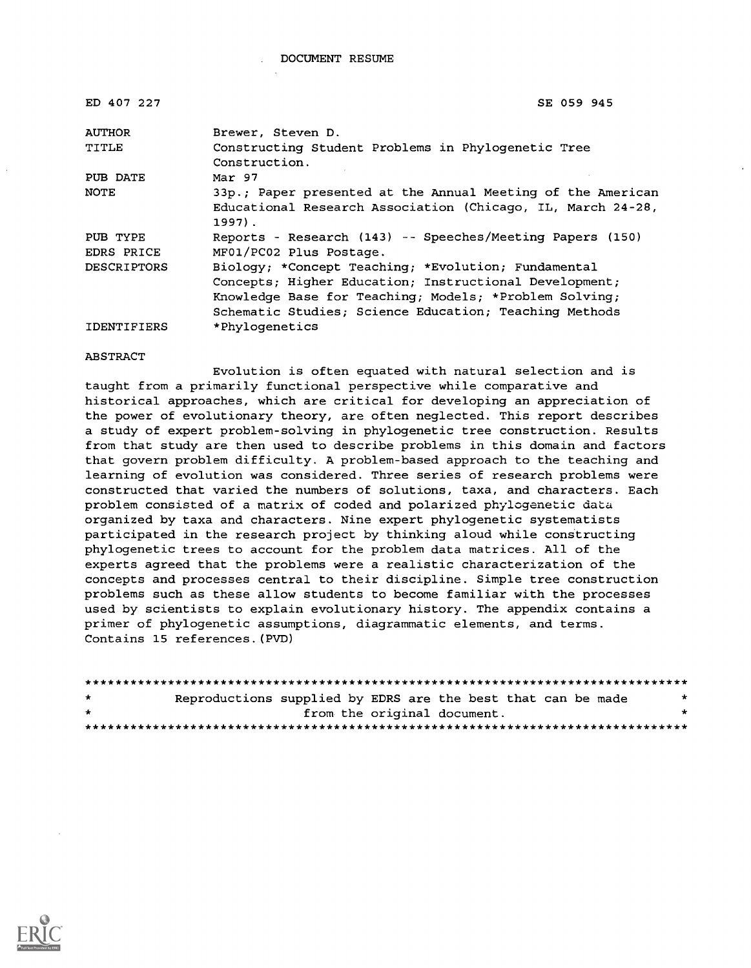| ED 407 227             | SE 059 945                                                                                                                                                                                                                        |
|------------------------|-----------------------------------------------------------------------------------------------------------------------------------------------------------------------------------------------------------------------------------|
| <b>AUTHOR</b>          | Brewer, Steven D.                                                                                                                                                                                                                 |
| TITLE                  | Constructing Student Problems in Phylogenetic Tree<br>Construction.                                                                                                                                                               |
| PUB DATE               | Mar 97                                                                                                                                                                                                                            |
| <b>NOTE</b>            | 33p.; Paper presented at the Annual Meeting of the American<br>Educational Research Association (Chicago, IL, March 24-28,<br>$1997$ .                                                                                            |
| PUB TYPE<br>EDRS PRICE | Reports - Research (143) -- Speeches/Meeting Papers (150)<br>MF01/PC02 Plus Postage.                                                                                                                                              |
| <b>DESCRIPTORS</b>     | Biology; *Concept Teaching; *Evolution; Fundamental<br>Concepts; Higher Education; Instructional Development;<br>Knowledge Base for Teaching; Models; *Problem Solving;<br>Schematic Studies; Science Education; Teaching Methods |
| <b>IDENTIFIERS</b>     | *Phylogenetics                                                                                                                                                                                                                    |

#### **ABSTRACT**

Evolution is often equated with natural selection and is taught from a primarily functional perspective while comparative and historical approaches, which are critical for developing an appreciation of the power of evolutionary theory, are often neglected. This report describes a study of expert problem-solving in phylogenetic tree construction. Results from that study are then used to describe problems in this domain and factors that govern problem difficulty. A problem-based approach to the teaching and learning of evolution was considered. Three series of research problems were constructed that varied the numbers of solutions, taxa, and characters. Each problem consisted of a matrix of coded and polarized phylogenetic data organized by taxa and characters. Nine expert phylogenetic systematists participated in the research project by thinking aloud while constructing phylogenetic trees to account for the problem data matrices. All of the experts agreed that the problems were a realistic characterization of the concepts and processes central to their discipline. Simple tree construction problems such as these allow students to become familiar with the processes used by scientists to explain evolutionary history. The appendix contains a primer of phylogenetic assumptions, diagrammatic elements, and terms. Contains 15 references.(PVD)

| $\star$ | Reproductions supplied by EDRS are the best that can be made |                             |  |  | $\star$ |
|---------|--------------------------------------------------------------|-----------------------------|--|--|---------|
| -⊭      |                                                              | from the original document. |  |  |         |
|         |                                                              |                             |  |  |         |

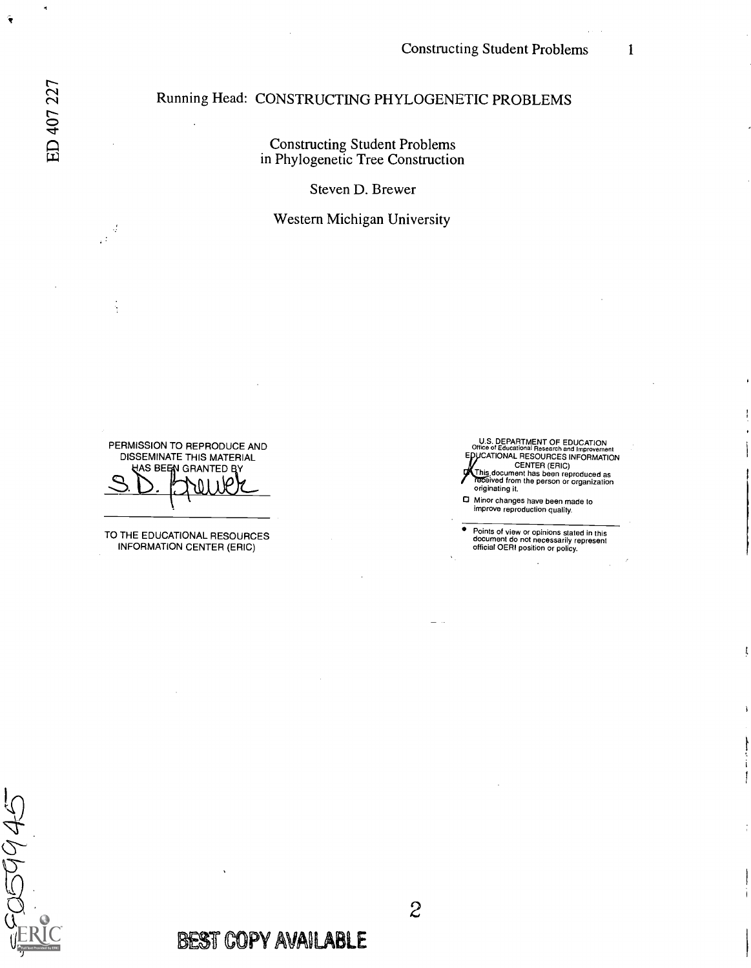## Running Head: CONSTRUCTING PHYLOGENETIC PROBLEMS

Constructing Student Problems in Phylogenetic Tree Construction

Steven D. Brewer

#### Western Michigan University

PERMISSION TO REPRODUCE AND DISSEMINATE THIS MATERIAL AS BEEN GRANTED BY

TO THE EDUCATIONAL RESOURCES INFORMATION CENTER (ERIC)

U.S. DEPARTMENT OF EDUCATION<br>Office of Educational Research and Improvement<br>EPUCATIONAL RESOURCES INFORMATION CENTER (ERIC) This document has been reproduced as eived from the person or organization originating it.

0 Minor changes have been made to improve reproduction quality.

Points of view or opinions stated in this document do not necessarily represent official OERI position or policy.

ı

2009945

**BEST COPY AVAILABLE** 

J,  $\mathbb{R}^2$ 

È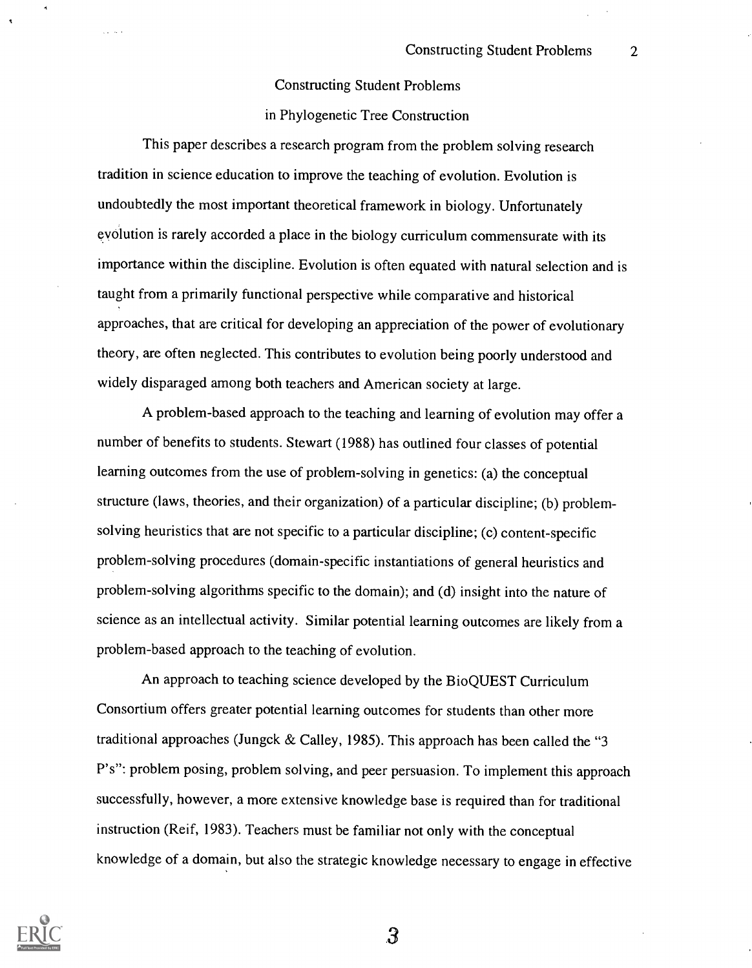#### Constructing Student Problems

#### in Phylogenetic Tree Construction

This paper describes a research program from the problem solving research tradition in science education to improve the teaching of evolution. Evolution is undoubtedly the most important theoretical framework in biology. Unfortunately evolution is rarely accorded a place in the biology curriculum commensurate with its importance within the discipline. Evolution is often equated with natural selection and is taught from a primarily functional perspective while comparative and historical approaches, that are critical for developing an appreciation of the power of evolutionary theory, are often neglected. This contributes to evolution being poorly understood and widely disparaged among both teachers and American society at large.

A problem-based approach to the teaching and learning of evolution may offer a number of benefits to students. Stewart (1988) has outlined four classes of potential learning outcomes from the use of problem-solving in genetics: (a) the conceptual structure (laws, theories, and their organization) of a particular discipline; (b) problemsolving heuristics that are not specific to a particular discipline; (c) content-specific problem-solving procedures (domain-specific instantiations of general heuristics and problem-solving algorithms specific to the domain); and (d) insight into the nature of science as an intellectual activity. Similar potential learning outcomes are likely from a problem-based approach to the teaching of evolution.

An approach to teaching science developed by the BioQUEST Curriculum Consortium offers greater potential learning outcomes for students than other more traditional approaches (Jungck & Calley, 1985). This approach has been called the "3 P's": problem posing, problem solving, and peer persuasion. To implement this approach successfully, however, a more extensive knowledge base is required than for traditional instruction (Reif, 1983). Teachers must be familiar not only with the conceptual knowledge of a domain, but also the strategic knowledge necessary to engage in effective

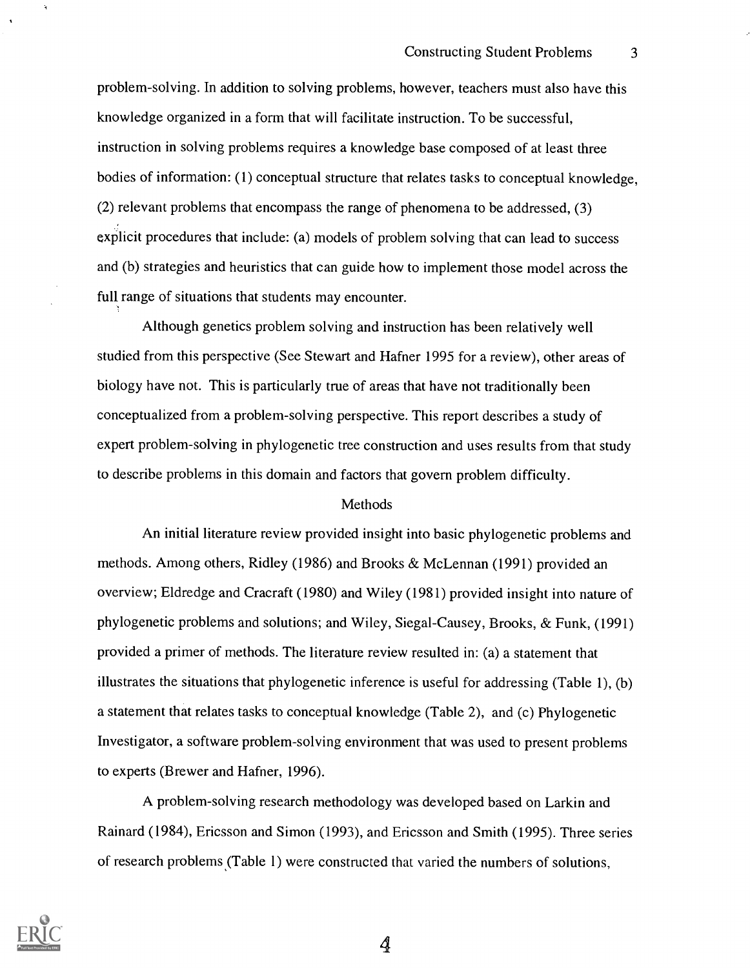problem-solving. In addition to solving problems, however, teachers must also have this knowledge organized in a form that will facilitate instruction. To be successful, instruction in solving problems requires a knowledge base composed of at least three bodies of information: (1) conceptual structure that relates tasks to conceptual knowledge, (2) relevant problems that encompass the range of phenomena to be addressed, (3) explicit procedures that include: (a) models of problem solving that can lead to success and (b) strategies and heuristics that can guide how to implement those model across the full range of situations that students may encounter.

Although genetics problem solving and instruction has been relatively well studied from this perspective (See Stewart and Hafner 1995 for a review), other areas of biology have not. This is particularly true of areas that have not traditionally been conceptualized from a problem-solving perspective. This report describes a study of expert problem-solving in phylogenetic tree construction and uses results from that study to describe problems in this domain and factors that govern problem difficulty.

#### Methods

An initial literature review provided insight into basic phylogenetic problems and methods. Among others, Ridley (1986) and Brooks & McLennan (1991) provided an overview; Eldredge and Cracraft (1980) and Wiley (1981) provided insight into nature of phylogenetic problems and solutions; and Wiley, Siegal-Causey, Brooks, & Funk, (1991) provided a primer of methods. The literature review resulted in: (a) a statement that illustrates the situations that phylogenetic inference is useful for addressing (Table 1), (b) a statement that relates tasks to conceptual knowledge (Table 2), and (c) Phylogenetic Investigator, a software problem-solving environment that was used to present problems to experts (Brewer and Hafner, 1996).

A problem-solving research methodology was developed based on Larkin and Rainard (1984), Ericsson and Simon (1993), and Ericsson and Smith (1995). Three series of research problems (Table 1) were constructed that varied the numbers of solutions,

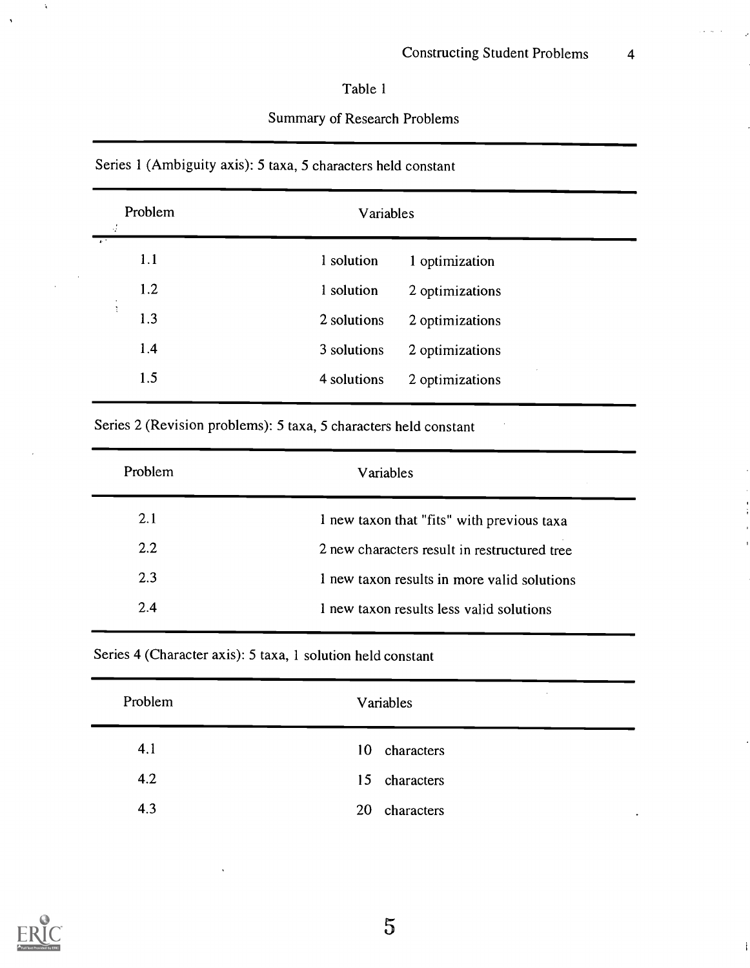## Table 1

## Summary of Research Problems

## Series 1 (Ambiguity axis): 5 taxa, 5 characters held constant

| ÷              | Problem | Variables   |                 |
|----------------|---------|-------------|-----------------|
| $\overline{1}$ | 1.1     | 1 solution  | 1 optimization  |
|                | 1.2     | 1 solution  | 2 optimizations |
| t              | 1.3     | 2 solutions | 2 optimizations |
|                | 1.4     | 3 solutions | 2 optimizations |
|                | 1.5     | 4 solutions | 2 optimizations |
|                |         |             |                 |

Series 2 (Revision problems): 5 taxa, 5 characters held constant

Series 4 (Character axis): 5 taxa, 1 solution held constant

| Problem | $\cdot$<br>Variables          |
|---------|-------------------------------|
| 4.1     | characters<br>10 <sup>°</sup> |
| 4.2     | 15 characters                 |
| 4.3     | 20<br>characters              |



À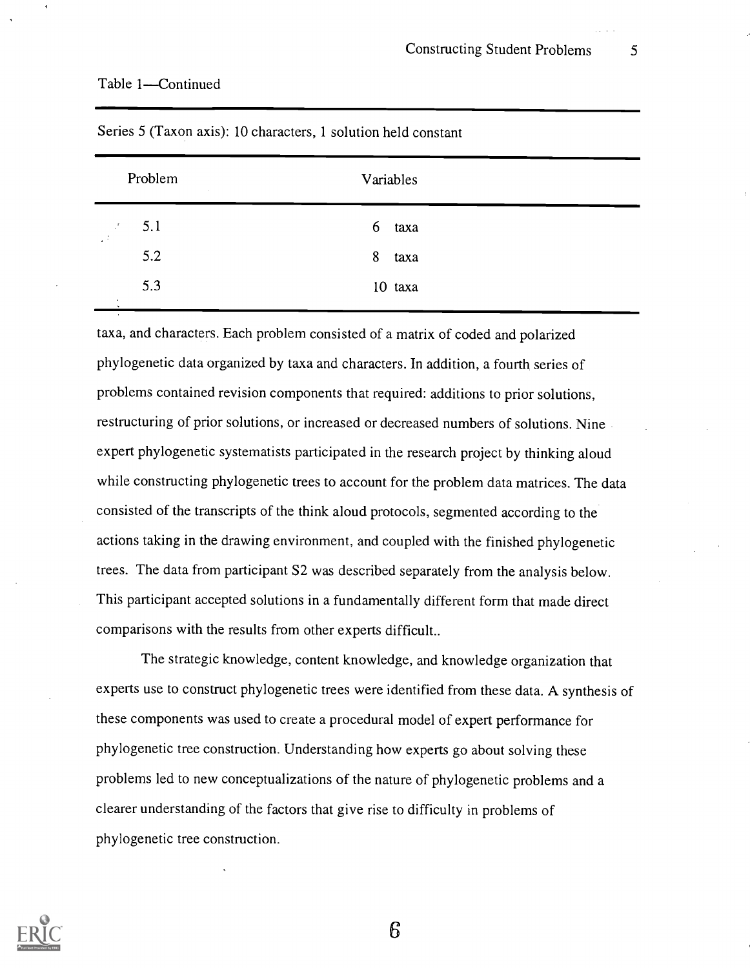#### Table 1-Continued

|                                  | Problem<br>$\sim$ | Variables |
|----------------------------------|-------------------|-----------|
| $\mathbb{R}^{\mathbf{f}}$<br>GP. | 5.1               | 6<br>taxa |
|                                  | 5.2               | 8<br>taxa |
| ٠                                | 5.3               | 10 taxa   |

Series 5 (Taxon axis): 10 characters, 1 solution held constant

taxa, and characters. Each problem consisted of a matrix of coded and polarized phylogenetic data organized by taxa and characters. In addition, a fourth series of problems contained revision components that required: additions to prior solutions, restructuring of prior solutions, or increased or decreased numbers of solutions. Nine expert phylogenetic systematists participated in the research project by thinking aloud while constructing phylogenetic trees to account for the problem data matrices. The data consisted of the transcripts of the think aloud protocols, segmented according to the actions taking in the drawing environment, and coupled with the finished phylogenetic trees. The data from participant S2 was described separately from the analysis below. This participant accepted solutions in a fundamentally different form that made direct comparisons with the results from other experts difficult..

The strategic knowledge, content knowledge, and knowledge organization that experts use to construct phylogenetic trees were identified from these data. A synthesis of these components was used to create a procedural model of expert performance for phylogenetic tree construction. Understanding how experts go about solving these problems led to new conceptualizations of the nature of phylogenetic problems and a clearer understanding of the factors that give rise to difficulty in problems of phylogenetic tree construction.

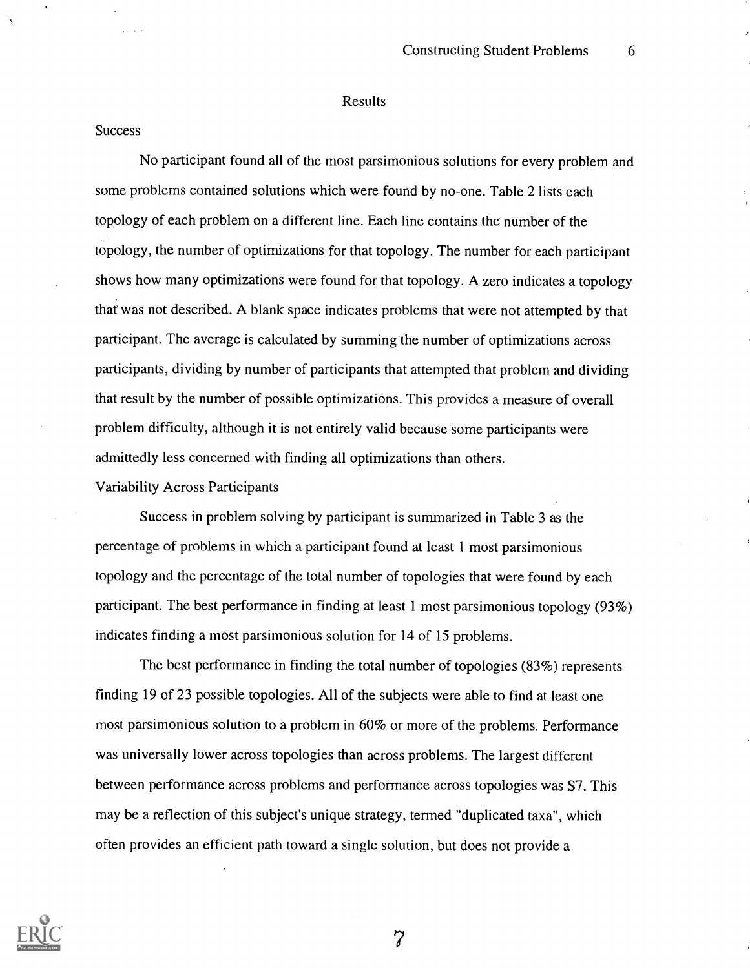#### Results

#### **Success**

No participant found all of the most parsimonious solutions for every problem and some problems contained solutions which were found by no-one. Table 2 lists each topology of each problem on a different line. Each line contains the number of the topology, the number of optimizations for that topology. The number for each participant shows how many optimizations were found for that topology. A zero indicates a topology that was not described. A blank space indicates problems that were not attempted by that participant. The average is calculated by summing the number of optimizations across participants, dividing by number of participants that attempted that problem and dividing that result by the number of possible optimizations. This provides a measure of overall problem difficulty, although it is not entirely valid because some participants were admittedly less concerned with finding all optimizations than others.

Variability Across Participants

Success in problem solving by participant is summarized in Table 3 as the percentage of problems in which a participant found at least 1 most parsimonious topology and the percentage of the total number of topologies that were found by each participant. The best performance in finding at least 1 most parsimonious topology (93%) indicates finding a most parsimonious solution for 14 of 15 problems.

The best performance in finding the total number of topologies (83%) represents finding 19 of 23 possible topologies. All of the subjects were able to find at least one most parsimonious solution to a problem in 60% or more of the problems. Performance was universally lower across topologies than across problems. The largest different between performance across problems and performance across topologies was S7. This may be a reflection of this subject's unique strategy, termed "duplicated taxa", which often provides an efficient path toward a single solution, but does not provide a

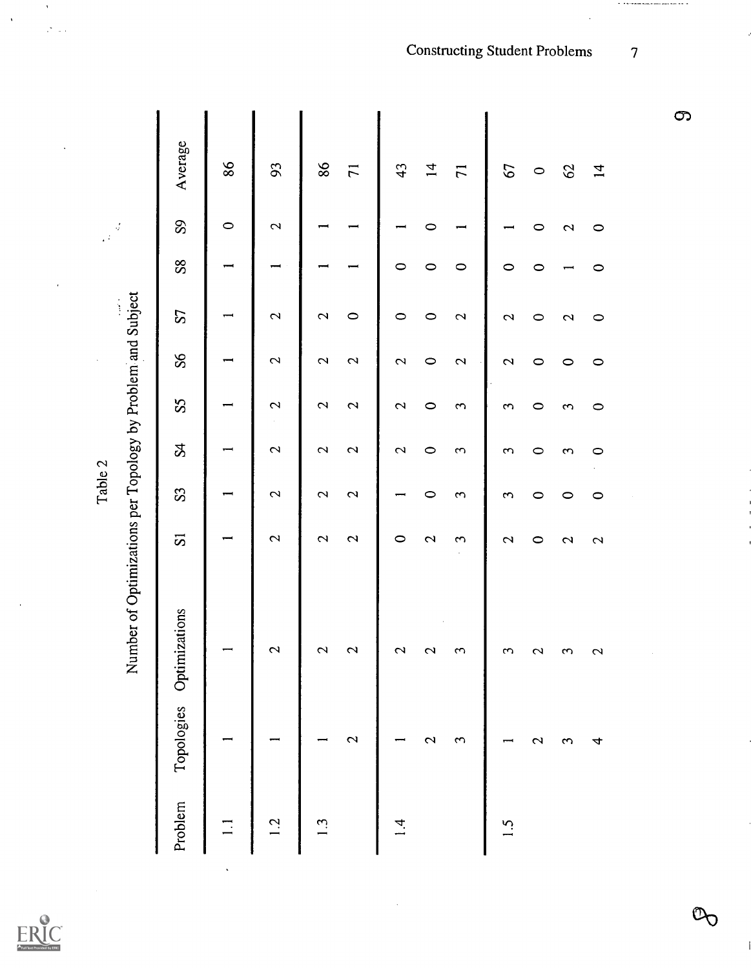|                                                             | Average        |         |                          |                   |                          |                   |                   |                      |             |             |                   |                |  |  |
|-------------------------------------------------------------|----------------|---------|--------------------------|-------------------|--------------------------|-------------------|-------------------|----------------------|-------------|-------------|-------------------|----------------|--|--|
|                                                             |                | 86      | 93                       | $98$              | $\overline{7}$           | 43                | $\overline{4}$    | $\overline{7}$       | 67          | $\circ$     | $\mathcal{O}$     | $\overline{1}$ |  |  |
| $\beta^{\prime}_{\ell}$<br>$\mathbb{Z}^2$                   | 89             | $\circ$ | $\mathbf{\Omega}$        |                   |                          |                   | 0                 |                      |             | 0           | 2                 | $\circ$        |  |  |
|                                                             | 88             |         |                          |                   |                          | 0                 | $\circ$           | $\circ$              | $\circ$     | 0           |                   | $\circ$        |  |  |
|                                                             | S              |         | $\mathbf{\Omega}$        | $\mathbf{\Omega}$ | $\circ$                  | $\circ$           | $\circ$           | $\mathbf{\Omega}$    | 2           | 0           | 2                 | $\circ$        |  |  |
|                                                             | 88             |         | 2                        | $\mathbf{\Omega}$ | $\mathbf{\Omega}$        | $\mathbf{\Omega}$ | $\circ$           | $\mathbf{\Omega}$    | $\mathbf 2$ | 0           | $\circ$           | $\circ$        |  |  |
|                                                             | S <sub>5</sub> |         | 2                        | 2                 | $\mathbf{\Omega}$        | 2                 | $\circ$           | $\mathbf{\tilde{c}}$ | 3           | 0           | 3                 | $\circ$        |  |  |
|                                                             | R              |         | $\mathbf{\Omega}$        | 2                 | $\overline{\mathcal{C}}$ | $\mathbf{\Omega}$ | $\circ$           | $\mathbf{\tilde{c}}$ | 3           | 0           | ξ                 | $\circ$        |  |  |
| Table 2                                                     | S <sub>3</sub> |         | $\mathbf{\Omega}$        | $\mathbf{\Omega}$ | $\mathbf{\Omega}$        |                   | $\circ$           | 3                    | 3           | 0           | 0                 | $\circ$        |  |  |
|                                                             | $\overline{5}$ |         | $\overline{\mathcal{L}}$ | $\mathbf{\Omega}$ | $\mathbf{\Omega}$        | $\circ$           | $\mathbf{\Omega}$ | 3                    | 2           | $\circ$     | $\mathbf{\Omega}$ | 2              |  |  |
| Number of Optimizations per Topology by Problem and Subject | Optimizations  |         | 2                        | 2                 | 2                        | 2                 | 2                 | 3                    | 3           | 2           | 3                 | 2              |  |  |
|                                                             | Topologies     |         |                          |                   | 2                        |                   | 2                 | ξ                    |             | $\mathbf 2$ | ω                 | 4              |  |  |
|                                                             | Problem        | ∃       | $\overline{12}$          | $\ddot{3}$        |                          | $\vec{r}$         |                   |                      | S.          |             |                   |                |  |  |

 $\bar{\gamma}$ 

 $\bar{\beta}$ 

 $\frac{1}{\sqrt{2}}\frac{1}{\sqrt{2}}$  ,

 $\overline{\phantom{a}}$ 

**Constructing Student Problems** 

 $\overline{7}$ 

 $\sigma$  , and the constraint corresponding to  $\sigma$ 

 $\infty$ 

 $\mathcal{D}_{\bigcirc}$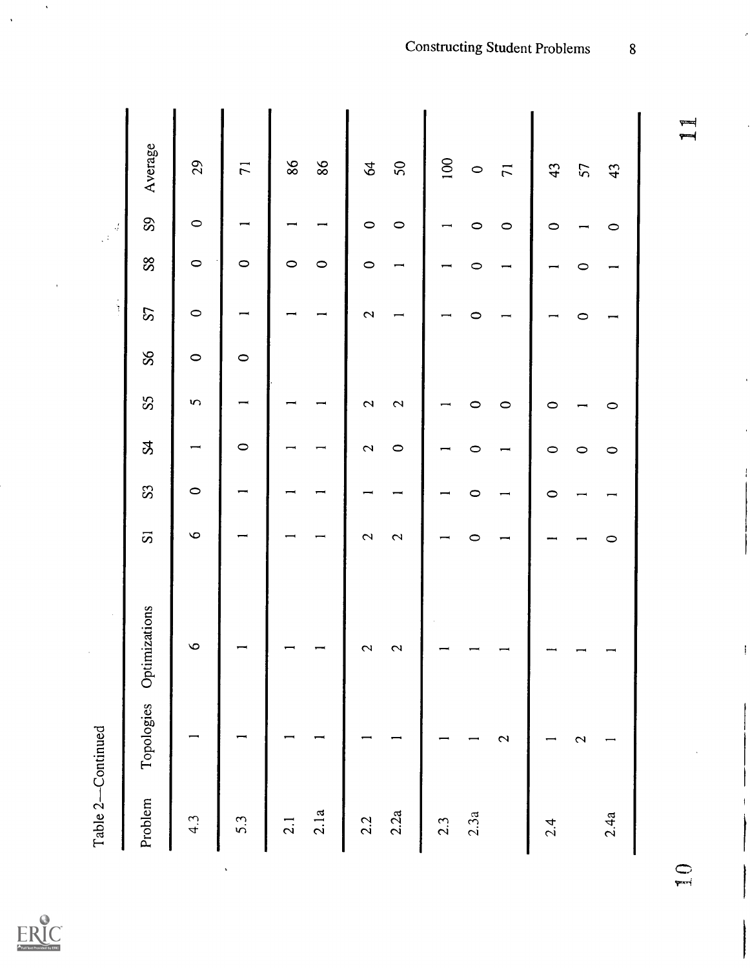| Table 2-Continued |              | $\epsilon$    |                          |         |              |                |         |          |         | $\frac{d}{dt}$ |                |
|-------------------|--------------|---------------|--------------------------|---------|--------------|----------------|---------|----------|---------|----------------|----------------|
| Problem           | Topologies   | Optimizations | $\overline{\mathcal{S}}$ | S       | $\mathbf{g}$ | S <sub>S</sub> | $S\!S$  | $\Omega$ | 88      | ${\bf S}$      | Average        |
| 4.3               |              | $\circ$       | $\circ$                  | $\circ$ |              | $\mathbf{v}$   | $\circ$ | $\circ$  | $\circ$ | $\circ$        | 29             |
| 5.3               |              |               |                          |         | $\circ$      |                | $\circ$ |          | $\circ$ |                | $\overline{7}$ |
| 2.1               |              |               |                          |         |              |                |         |          | $\circ$ |                | $86\,$         |
| 2.1a              |              |               |                          |         |              |                |         |          | $\circ$ |                | $98$           |
| 2.2               |              | 2             | 2                        |         | 2            | 2              |         | 2        | $\circ$ | $\circ$        | $\mathcal{A}$  |
| 2.2a              |              | 2             | $\mathbf{\Omega}$        |         | $\circ$      | 2              |         |          |         | $\circ$        | $50\,$         |
| 2.3               |              |               |                          |         |              |                |         |          |         |                | 100            |
| 2.3a              |              |               | 0                        |         |              | 0              |         | 0        | $\circ$ | 0              | $\circ$        |
|                   | 2            |               |                          |         |              | $\circ$        |         |          |         | $\circ$        | $\overline{7}$ |
| 2.4               |              |               |                          | 0       | $\circ$      | 0              |         |          |         | 0              | 43             |
|                   | $\mathbf{C}$ |               |                          |         | $\circ$      |                |         | 0        | 0       |                | 57             |
| 2.4a              |              |               | $\circ$                  |         | $\circ$      | $\circ$        |         |          |         | $\circ$        | 43             |
|                   |              |               |                          |         |              |                |         |          |         |                | ۳<br>جو        |



 $\hat{\mathbf{v}}$ 

 $\ddot{\phantom{0}}$ 

 $\overline{8}$ 

┯═╡

 $Q_{\overline{r}}$ 

-l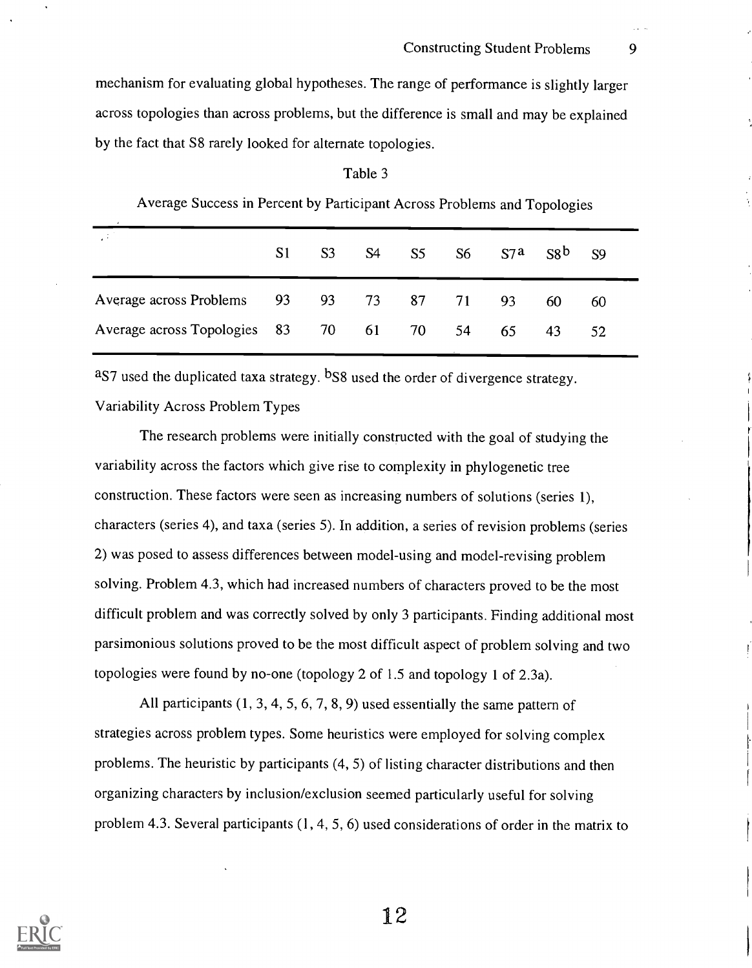mechanism for evaluating global hypotheses. The range of performance is slightly larger across topologies than across problems, but the difference is small and may be explained by the fact that S8 rarely looked for alternate topologies.

|                                       | S1 | S <sub>3</sub> | S4 | S5 | S6 | $S7^a$ | S8 <sup>b</sup> | - S9 |
|---------------------------------------|----|----------------|----|----|----|--------|-----------------|------|
| Average across Problems 93 93 73 87   |    |                |    |    | 71 | 93     | 60              | 60   |
| Average across Topologies 83 70 61 70 |    |                |    |    | 54 | 65     | 43              | 52   |
|                                       |    |                |    |    |    |        |                 |      |

#### Table 3

Average Success in Percent by Participant Across Problems and Topologies

aS7 used the duplicated taxa strategy. bS8 used the order of divergence strategy.

### Variability Across Problem Types

The research problems were initially constructed with the goal of studying the variability across the factors which give rise to complexity in phylogenetic tree construction. These factors were seen as increasing numbers of solutions (series 1), characters (series 4), and taxa (series 5). In addition, a series of revision problems (series 2) was posed to assess differences between model-using and model-revising problem solving. Problem 4.3, which had increased numbers of characters proved to be the most difficult problem and was correctly solved by only 3 participants. Finding additional most parsimonious solutions proved to be the most difficult aspect of problem solving and two topologies were found by no-one (topology 2 of 1.5 and topology 1 of 2.3a).

All participants (1, 3, 4, 5, 6, 7, 8, 9) used essentially the same pattern of strategies across problem types. Some heuristics were employed for solving complex problems. The heuristic by participants (4, 5) of listing character distributions and then organizing characters by inclusion/exclusion seemed particularly useful for solving problem 4.3. Several participants (1, 4, 5, 6) used considerations of order in the matrix to

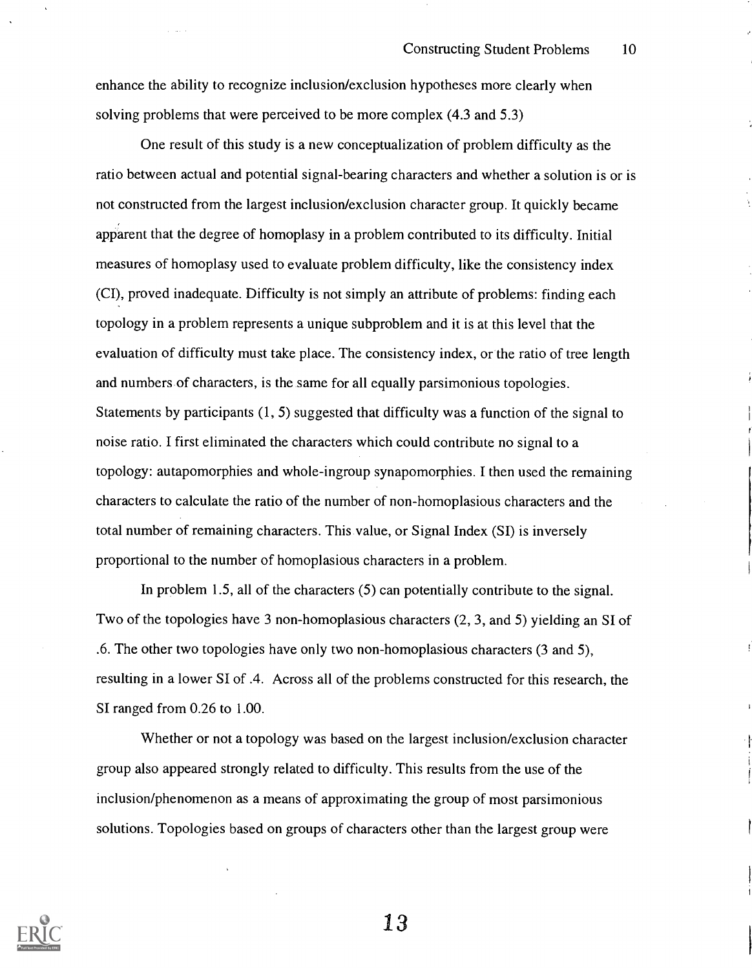enhance the ability to recognize inclusion/exclusion hypotheses more clearly when solving problems that were perceived to be more complex (4.3 and 5.3)

One result of this study is a new conceptualization of problem difficulty as the ratio between actual and potential signal-bearing characters and whether a solution is or is not constructed from the largest inclusion/exclusion character group. It quickly became apparent that the degree of homoplasy in a problem contributed to its difficulty. Initial measures of homoplasy used to evaluate problem difficulty, like the consistency index (CI), proved inadequate. Difficulty is not simply an attribute of problems: finding each topology in a problem represents a unique subproblem and it is at this level that the evaluation of difficulty must take place. The consistency index, or the ratio of tree length and numbers of characters, is the same for all equally parsimonious topologies. Statements by participants (1, 5) suggested that difficulty was a function of the signal to noise ratio. I first eliminated the characters which could contribute no signal to a topology: autapomorphies and whole-ingroup synapomorphies. I then used the remaining characters to calculate the ratio of the number of non-homoplasious characters and the total number of remaining characters. This value, or Signal Index (SI) is inversely proportional to the number of homoplasious characters in a problem.

In problem 1.5, all of the characters (5) can potentially contribute to the signal. Two of the topologies have 3 non-homoplasious characters (2, 3, and 5) yielding an SI of .6. The other two topologies have only two non-homoplasious characters (3 and 5), resulting in a lower SI of .4. Across all of the problems constructed for this research, the SI ranged from 0.26 to 1.00.

Whether or not a topology was based on the largest inclusion/exclusion character group also appeared strongly related to difficulty. This results from the use of the inclusion/phenomenon as a means of approximating the group of most parsimonious solutions. Topologies based on groups of characters other than the largest group were

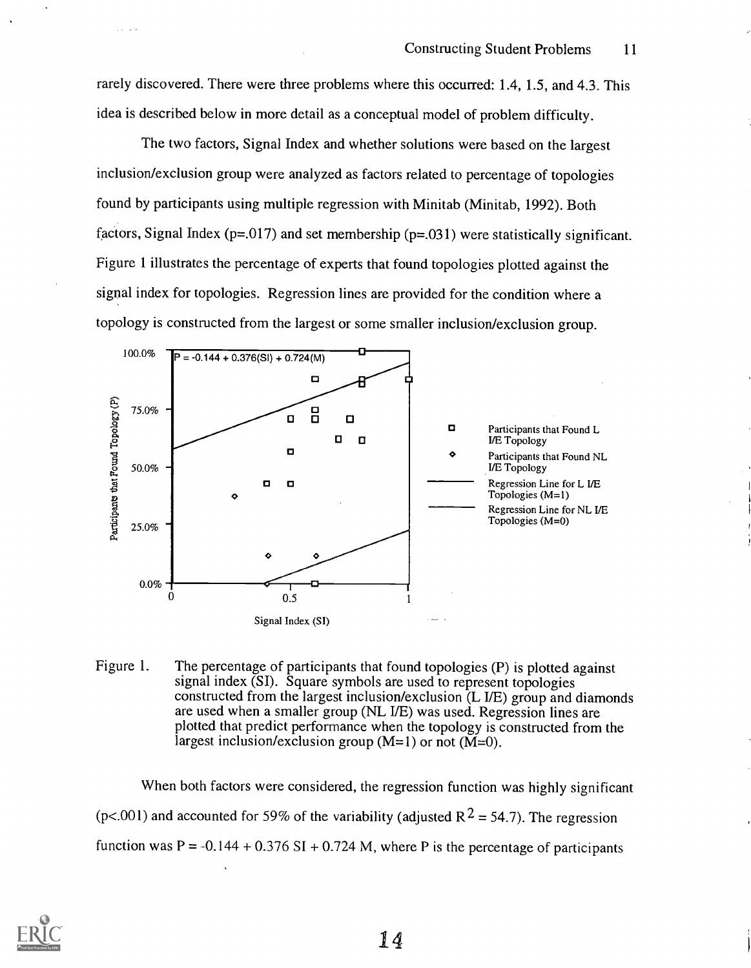rarely discovered. There were three problems where this occurred: 1.4, 1.5, and 4.3. This idea is described below in more detail as a conceptual model of problem difficulty.

The two factors, Signal Index and whether solutions were based on the largest inclusion/exclusion group were analyzed as factors related to percentage of topologies found by participants using multiple regression with Minitab (Minitab, 1992). Both factors, Signal Index ( $p=0.017$ ) and set membership ( $p=0.031$ ) were statistically significant. Figure 1 illustrates the percentage of experts that found topologies plotted against the signal index for topologies. Regression lines are provided for the condition where a topology is constructed from the largest or some smaller inclusion/exclusion group.



Figure 1. The percentage of participants that found topologies (P) is plotted against signal index (SI). Square symbols are used to represent topologies constructed from the largest inclusion/exclusion (L I/E) group and diamonds are used when a smaller group (NL I/E) was used. Regression lines are plotted that predict performance when the topology is constructed from the largest inclusion/exclusion group  $(M=1)$  or not  $(M=0)$ .

When both factors were considered, the regression function was highly significant (p<.001) and accounted for 59% of the variability (adjusted  $R^2 = 54.7$ ). The regression function was  $P = -0.144 + 0.376$  SI + 0.724 M, where P is the percentage of participants

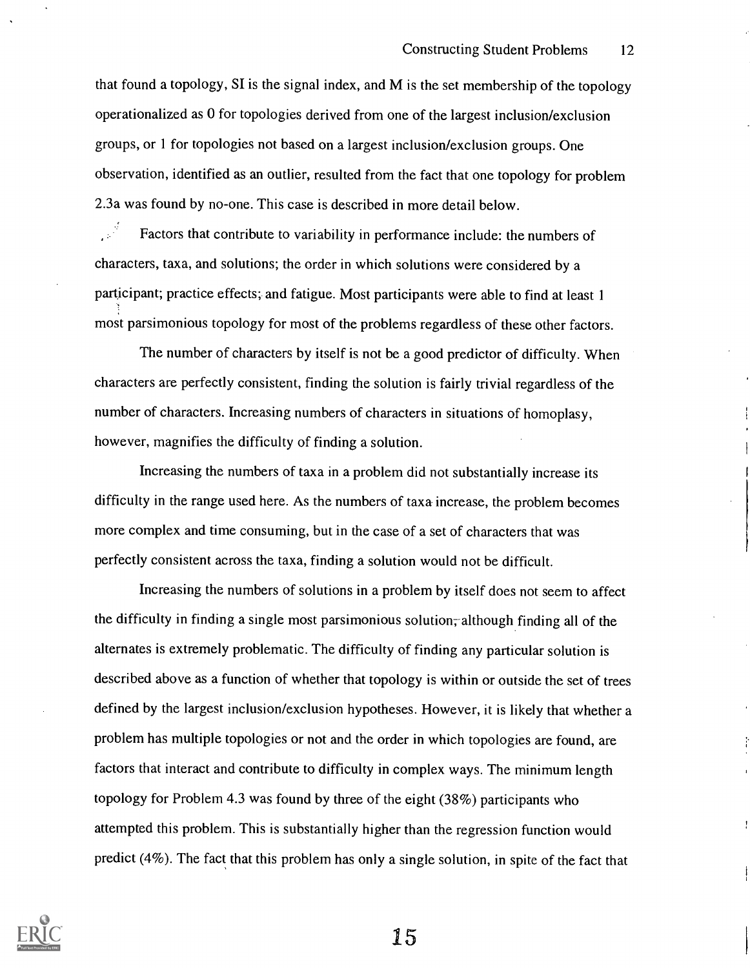that found a topology, SI is the signal index, and M is the set membership of the topology operationalized as 0 for topologies derived from one of the largest inclusion/exclusion groups, or 1 for topologies not based on a largest inclusion/exclusion groups. One observation, identified as an outlier, resulted from the fact that one topology for problem 2.3a was found by no-one. This case is described in more detail below.

ي<br>مون Factors that contribute to variability in performance include: the numbers of characters, taxa, and solutions; the order in which solutions were considered by a participant; practice effects; and fatigue. Most participants were able to find at least 1 most parsimonious topology for most of the problems regardless of these other factors.

The number of characters by itself is not be a good predictor of difficulty. When characters are perfectly consistent, finding the solution is fairly trivial regardless of the number of characters. Increasing numbers of characters in situations of homoplasy, however, magnifies the difficulty of finding a solution.

Increasing the numbers of taxa in a problem did not substantially increase its difficulty in the range used here. As the numbers of taxa increase, the problem becomes more complex and time consuming, but in the case of a set of characters that was perfectly consistent across the taxa, finding a solution would not be difficult.

Increasing the numbers of solutions in a problem by itself does not seem to affect the difficulty in finding a single most parsimonious solution, although finding all of the alternates is extremely problematic. The difficulty of finding any particular solution is described above as a function of whether that topology is within or outside the set of trees defined by the largest inclusion/exclusion hypotheses. However, it is likely that whether a problem has multiple topologies or not and the order in which topologies are found, are factors that interact and contribute to difficulty in complex ways. The minimum length topology for Problem 4.3 was found by three of the eight (38%) participants who attempted this problem. This is substantially higher than the regression function would predict (4%). The fact that this problem has only a single solution, in spite of the fact that

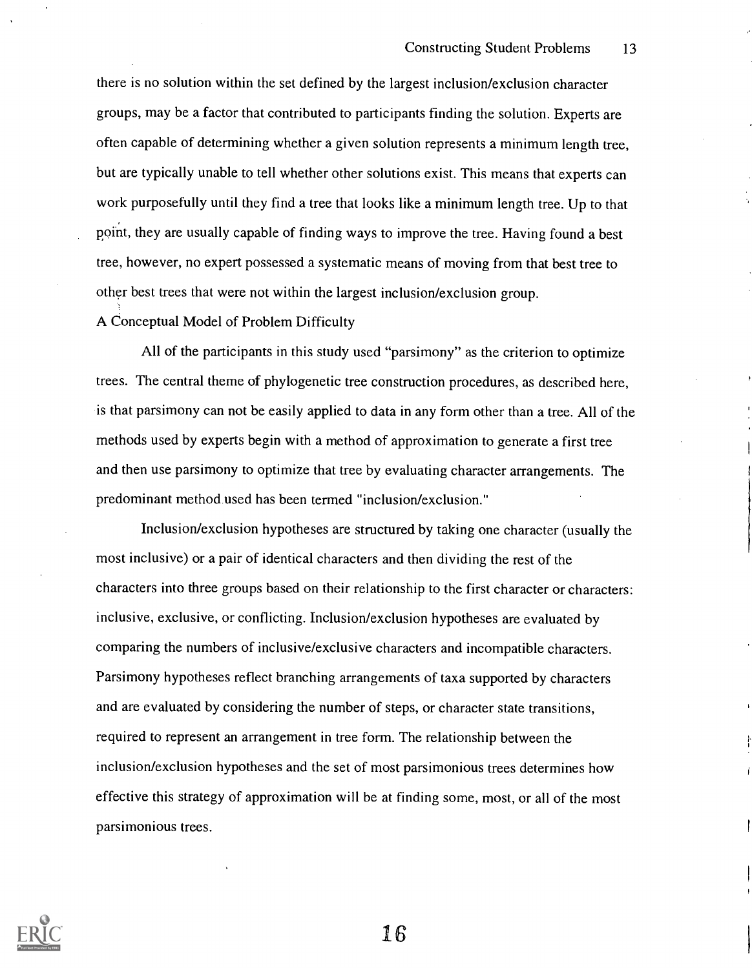there is no solution within the set defined by the largest inclusion/exclusion character groups, may be a factor that contributed to participants finding the solution. Experts are often capable of determining whether a given solution represents a minimum length tree, but are typically unable to tell whether other solutions exist. This means that experts can work purposefully until they find a tree that looks like a minimum length tree. Up to that point, they are usually capable of finding ways to improve the tree. Having found a best tree, however, no expert possessed a systematic means of moving from that best tree to other best trees that were not within the largest inclusion/exclusion group.

#### A Conceptual Model of Problem Difficulty

All of the participants in this study used "parsimony" as the criterion to optimize trees. The central theme of phylogenetic tree construction procedures, as described here, is that parsimony can not be easily applied to data in any form other than a tree. All of the methods used by experts begin with a method of approximation to generate a first tree and then use parsimony to optimize that tree by evaluating character arrangements. The predominant method used has been termed "inclusion/exclusion."

Inclusion/exclusion hypotheses are structured by taking one character (usually the most inclusive) or a pair of identical characters and then dividing the rest of the characters into three groups based on their relationship to the first character or characters: inclusive, exclusive, or conflicting. Inclusion/exclusion hypotheses are evaluated by comparing the numbers of inclusive/exclusive characters and incompatible characters. Parsimony hypotheses reflect branching arrangements of taxa supported by characters and are evaluated by considering the number of steps, or character state transitions, required to represent an arrangement in tree form. The relationship between the inclusion/exclusion hypotheses and the set of most parsimonious trees determines how effective this strategy of approximation will be at finding some, most, or all of the most parsimonious trees.

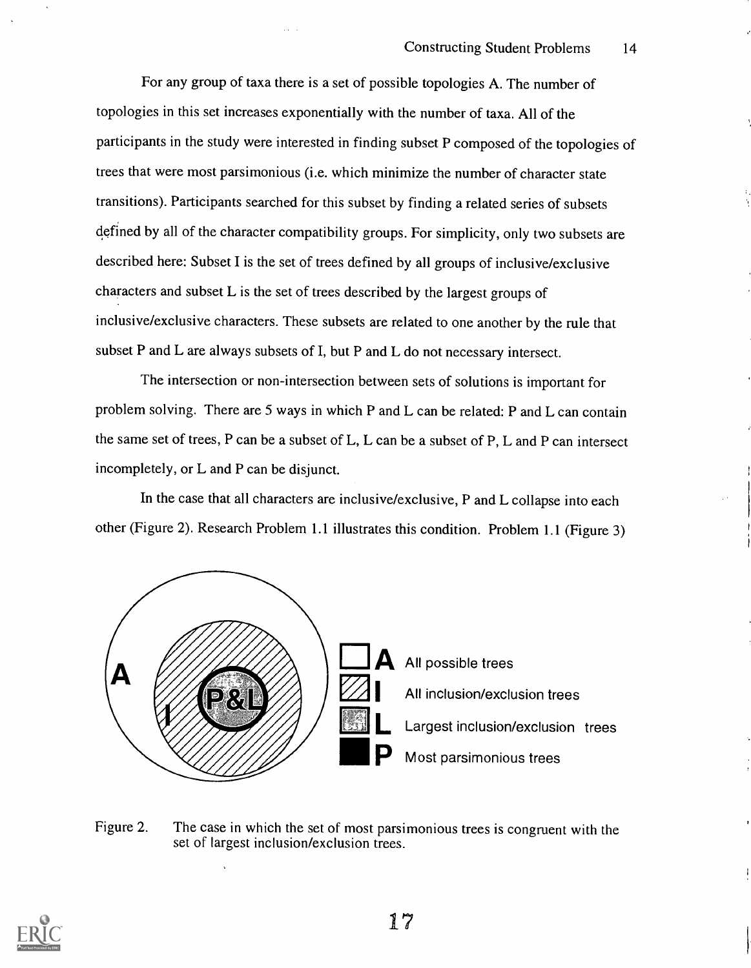For any group of taxa there is a set of possible topologies A. The number of topologies in this set increases exponentially with the number of taxa. All of the participants in the study were interested in finding subset P composed of the topologies of trees that were most parsimonious (i.e. which minimize the number of character state transitions). Participants searched for this subset by finding a related series of subsets defined by all of the character compatibility groups. For simplicity, only two subsets are described here: Subset I is the set of trees defined by all groups of inclusive/exclusive characters and subset L is the set of trees described by the largest groups of inclusive/exclusive characters. These subsets are related to one another by the rule that subset P and L are always subsets of I, but P and L do not necessary intersect.

The intersection or non-intersection between sets of solutions is important for problem solving. There are 5 ways in which P and L can be related: P and L can contain the same set of trees, P can be a subset of L, L can be a subset of P, L and P can intersect incompletely, or L and P can be disjunct.

In the case that all characters are inclusive/exclusive, P and L collapse into each other (Figure 2). Research Problem 1.1 illustrates this condition. Problem 1.1 (Figure 3)



Figure 2. The case in which the set of most parsimonious trees is congruent with the set of largest inclusion/exclusion trees.

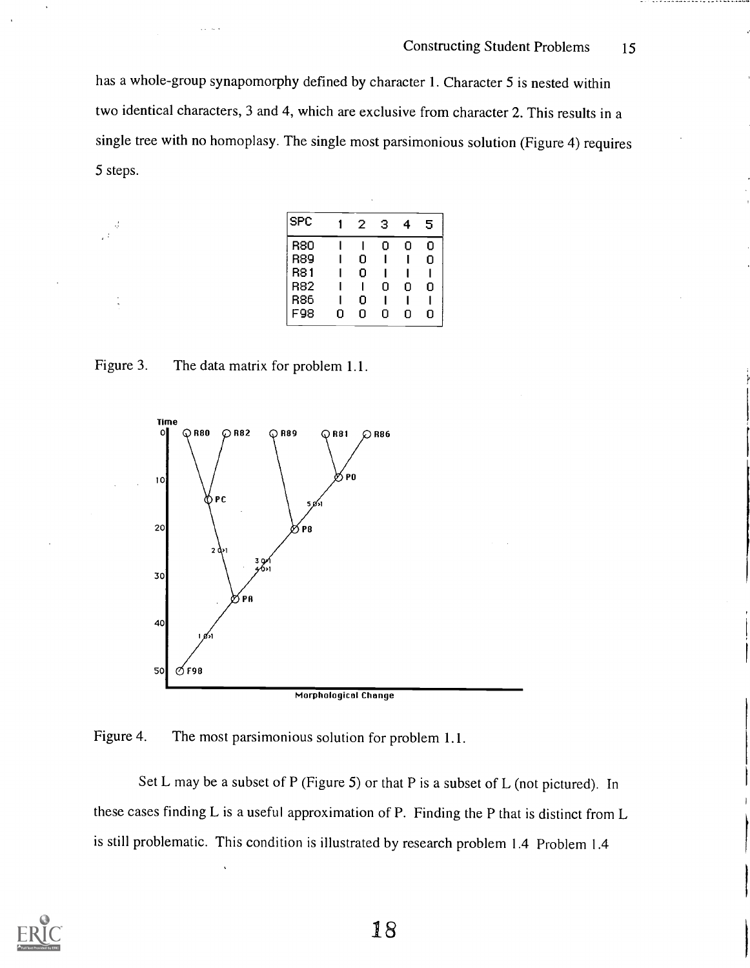. . . . . . . . . . . . . . . .

has a whole-group synapomorphy defined by character 1. Character 5 is nested within two identical characters, 3 and 4, which are exclusive from character 2. This results in a single tree with no homoplasy. The single most parsimonious solution (Figure 4) requires 5 steps.

| <b>SPC</b> |   | 2 | з | 4 | 5 |
|------------|---|---|---|---|---|
| R80        |   |   | Ω | Ω | Ω |
| <b>R89</b> |   | ο |   |   | Ω |
| R81        |   | 0 |   |   |   |
| R82        |   |   | 0 | n | n |
| R86        |   | 0 |   |   |   |
| F98        | Ω | Ω | Ω | n | n |
|            |   |   |   |   |   |

Figure 3. The data matrix for problem 1.1.



Figure 4. The most parsimonious solution for problem 1.1.

Set L may be a subset of P (Figure 5) or that P is a subset of L (not pictured). In these cases finding L is a useful approximation of P. Finding the P that is distinct from L is still problematic. This condition is illustrated by research problem 1.4 Problem 1.4

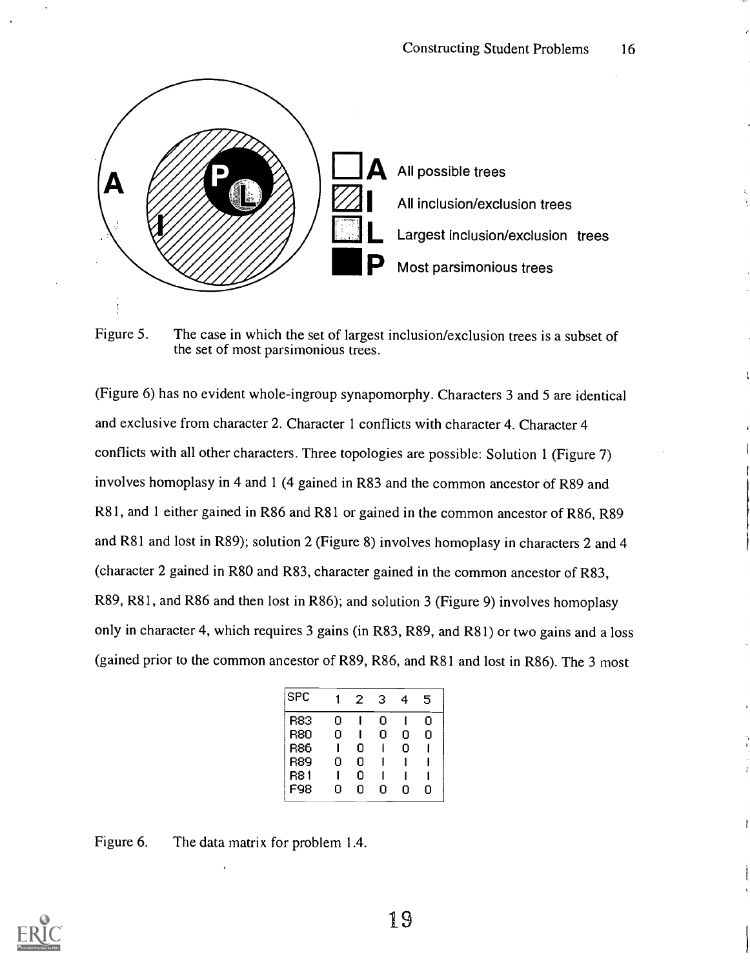

Figure 5. The case in which the set of largest inclusion/exclusion trees is a subset of the set of most parsimonious trees.

(Figure 6) has no evident whole-ingroup synapomorphy. Characters 3 and 5 are identical and exclusive from character 2. Character 1 conflicts with character 4. Character 4 conflicts with all other characters. Three topologies are possible: Solution 1 (Figure 7) involves homoplasy in 4 and 1 (4 gained in R83 and the common ancestor of R89 and R81, and 1 either gained in R86 and R81 or gained in the common ancestor of R86, R89 and R81 and lost in R89); solution 2 (Figure 8) involves homoplasy in characters 2 and 4 (character 2 gained in R80 and R83, character gained in the common ancestor of R83, R89, R81, and R86 and then lost in R86); and solution 3 (Figure 9) involves homoplasy only in character 4, which requires 3 gains (in R83, R89, and R81) or two gains and a loss (gained prior to the common ancestor of R89, R86, and R81 and lost in R86). The 3 most

| <b>SPC</b> |   | 2 | З | 4 | 5 |
|------------|---|---|---|---|---|
| R83        | n |   | n |   | n |
| 880        | n |   | 0 | n | n |
| R86        |   | 0 |   | n |   |
| R89        | n | Ω |   |   |   |
| R8 1       |   | 0 |   |   |   |
| F98        | П | n | n | n | n |
|            |   |   |   |   |   |

Figure 6. The data matrix for problem 1.4.

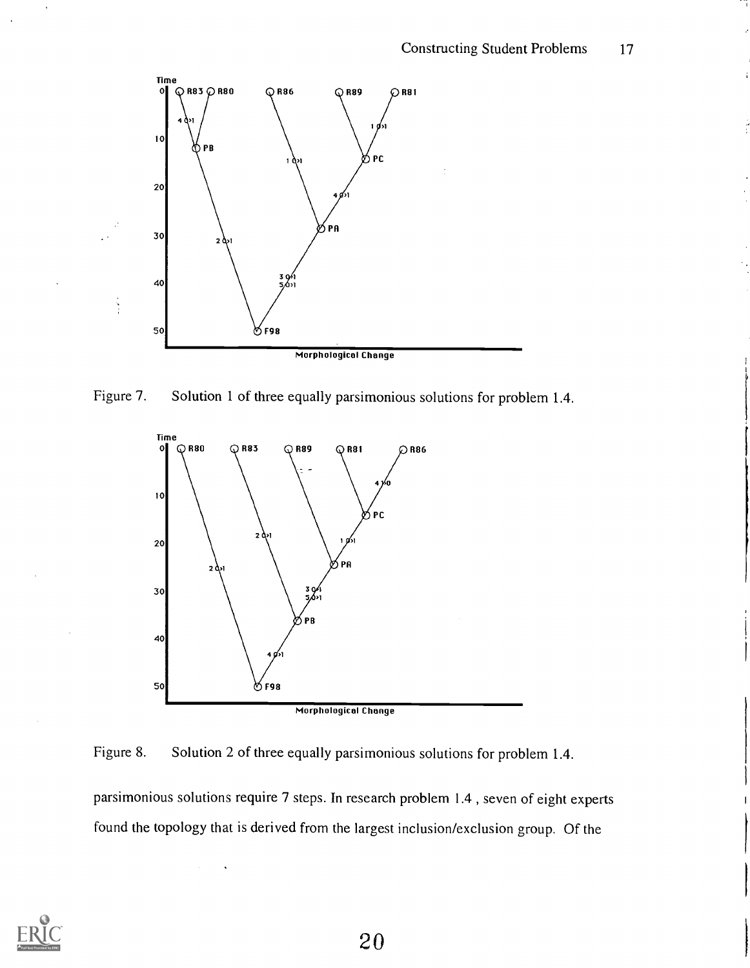

Figure 7. Solution 1 of three equally parsimonious solutions for problem 1.4.



Figure 8. Solution 2 of three equally parsimonious solutions for problem 1.4.

parsimonious solutions require 7 steps. In research problem 1.4 , seven of eight experts found the topology that is derived from the largest inclusion/exclusion group. Of the

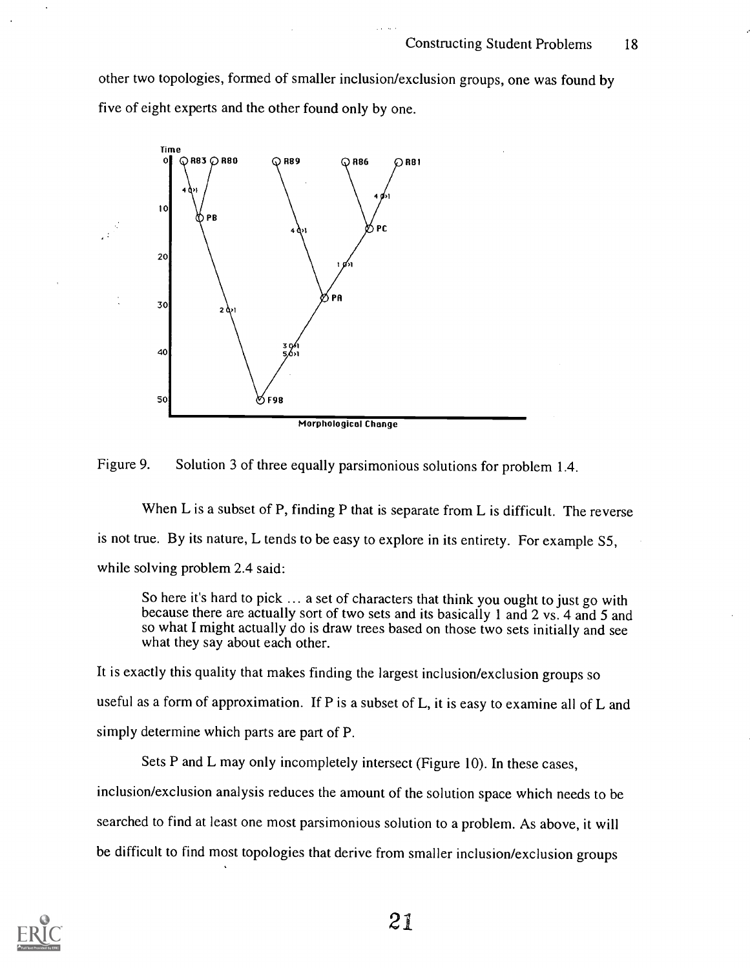other two topologies, formed of smaller inclusion/exclusion groups, one was found by five of eight experts and the other found only by one.





When L is a subset of P, finding P that is separate from L is difficult. The reverse is not true. By its nature, L tends to be easy to explore in its entirety. For example S5, while solving problem 2.4 said:

So here it's hard to pick ... a set of characters that think you ought to just go with because there are actually sort of two sets and its basically 1 and 2 vs. 4 and 5 and so what I might actually do is draw trees based on those two sets initially and see what they say about each other.

It is exactly this quality that makes finding the largest inclusion/exclusion groups so useful as a form of approximation. If P is a subset of L, it is easy to examine all of L and simply determine which parts are part of P.

Sets P and L may only incompletely intersect (Figure 10). In these cases, inclusion/exclusion analysis reduces the amount of the solution space which needs to be searched to find at least one most parsimonious solution to a problem. As above, it will be difficult to find most topologies that derive from smaller inclusion/exclusion groups

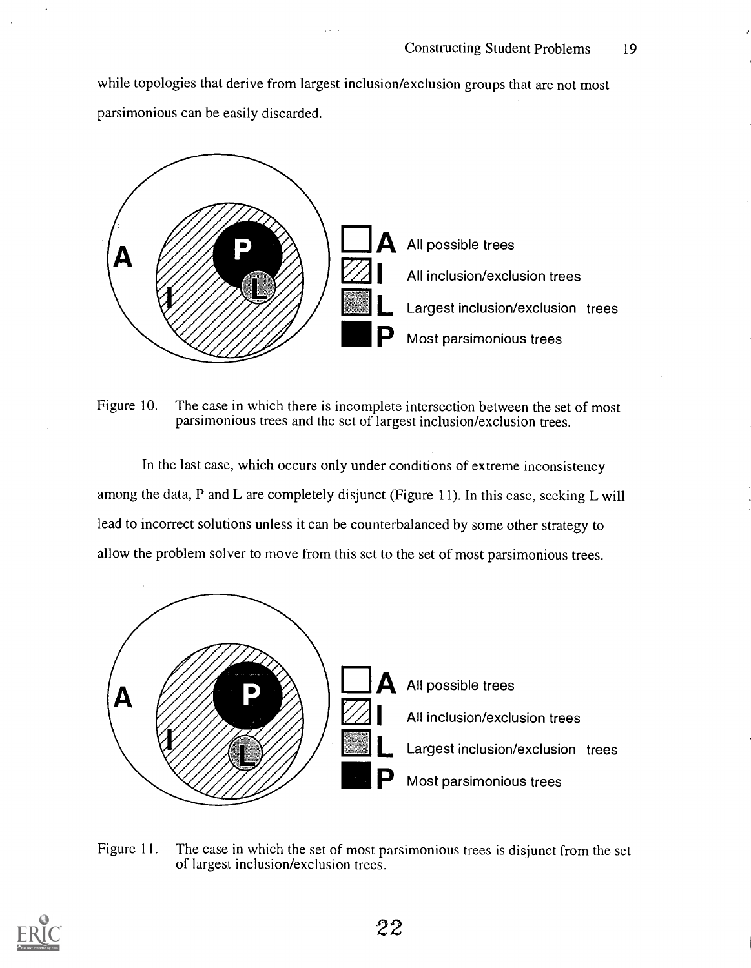while topologies that derive from largest inclusion/exclusion groups that are not most parsimonious can be easily discarded.



Figure 10. The case in which there is incomplete intersection between the set of most parsimonious trees and the set of largest inclusion/exclusion trees.

In the last case, which occurs only under conditions of extreme inconsistency among the data, P and L are completely disjunct (Figure 11). In this case, seeking L will lead to incorrect solutions unless it can be counterbalanced by some other strategy to allow the problem solver to move from this set to the set of most parsimonious trees.



Figure 11. The case in which the set of most parsimonious trees is disjunct from the set of largest inclusion/exclusion trees.

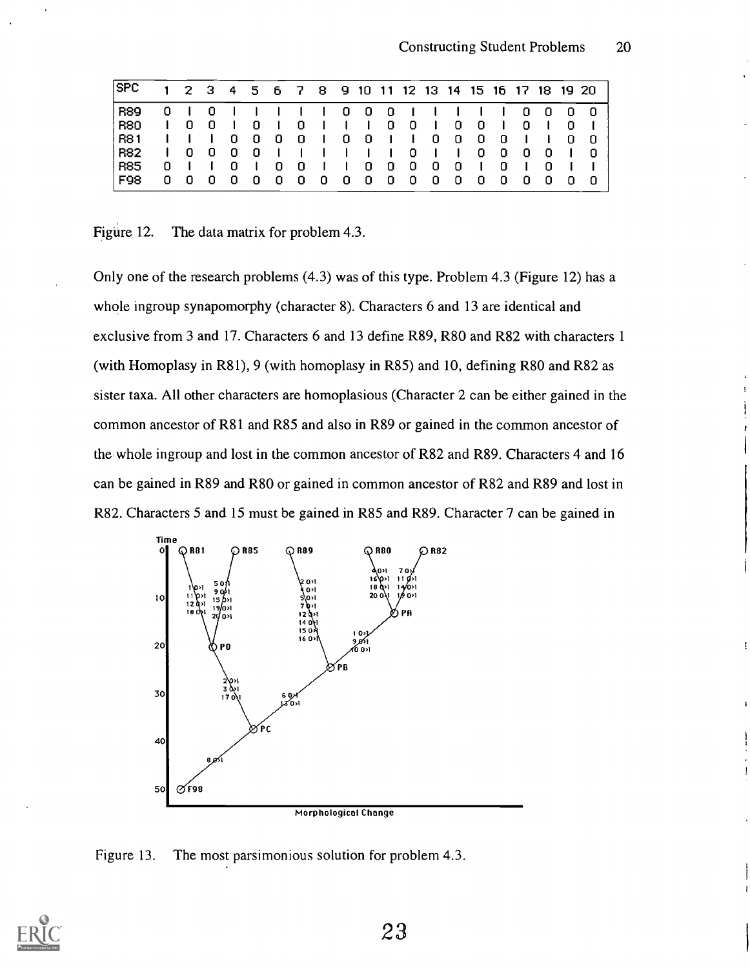| <b>SPC</b> |             | $1\quad 2\quad 3$             |                |     |   |   |    |                 |     |   |     |   |   |   |   |   | 4 5 6 7 8 9 10 11 12 13 14 15 16 17 18 19 20 |  |     |
|------------|-------------|-------------------------------|----------------|-----|---|---|----|-----------------|-----|---|-----|---|---|---|---|---|----------------------------------------------|--|-----|
| <b>R89</b> |             | 0 <sub>1</sub>                | 0 <sub>1</sub> |     |   |   |    |                 |     |   |     |   |   |   |   |   |                                              |  | - 0 |
| <b>R80</b> |             | $\begin{matrix} \end{matrix}$ | 0              |     |   |   | 0  |                 |     |   | 0   | 0 |   | 0 | 0 |   |                                              |  |     |
| <b>R81</b> |             |                               |                | 0   | 0 | 0 | 0  | $\sim$ 1 $\sim$ | 0   | 0 |     |   | 0 | 0 | 0 | 0 |                                              |  |     |
| <b>R82</b> |             | $\mathbf{1}$ 0                | - 0            | - 0 | 0 |   |    |                 |     |   |     | 0 |   |   | 0 | 0 | 0                                            |  |     |
| R85        | $\mathbf 0$ |                               |                | 0   |   | 0 | -0 |                 |     | 0 | - 0 | 0 | 0 | 0 |   | 0 |                                              |  |     |
| F98        |             | 00                            |                | 0   | 0 | 0 | 0  | - 0             | - 0 | 0 | - 0 | 0 | 0 | 0 | 0 | 0 |                                              |  |     |

Figure 12. The data matrix for problem 4.3.

Only one of the research problems (4.3) was of this type. Problem 4.3 (Figure 12) has a whole ingroup synapomorphy (character 8). Characters 6 and 13 are identical and exclusive from 3 and 17. Characters 6 and 13 define R89, R80 and R82 with characters 1 (with Homoplasy in R81), 9 (with homoplasy in R85) and 10, defining R80 and R82 as sister taxa. All other characters are homoplasious (Character 2 can be either gained in the common ancestor of R81 and R85 and also in R89 or gained in the common ancestor of the whole ingroup and lost in the common ancestor of R82 and R89. Characters 4 and 16 can be gained in R89 and R80 or gained in common ancestor of R82 and R89 and lost in R82. Characters 5 and 15 must be gained in R85 and R89. Character 7 can be gained in



Figure 13. The most parsimonious solution for problem 4.3.

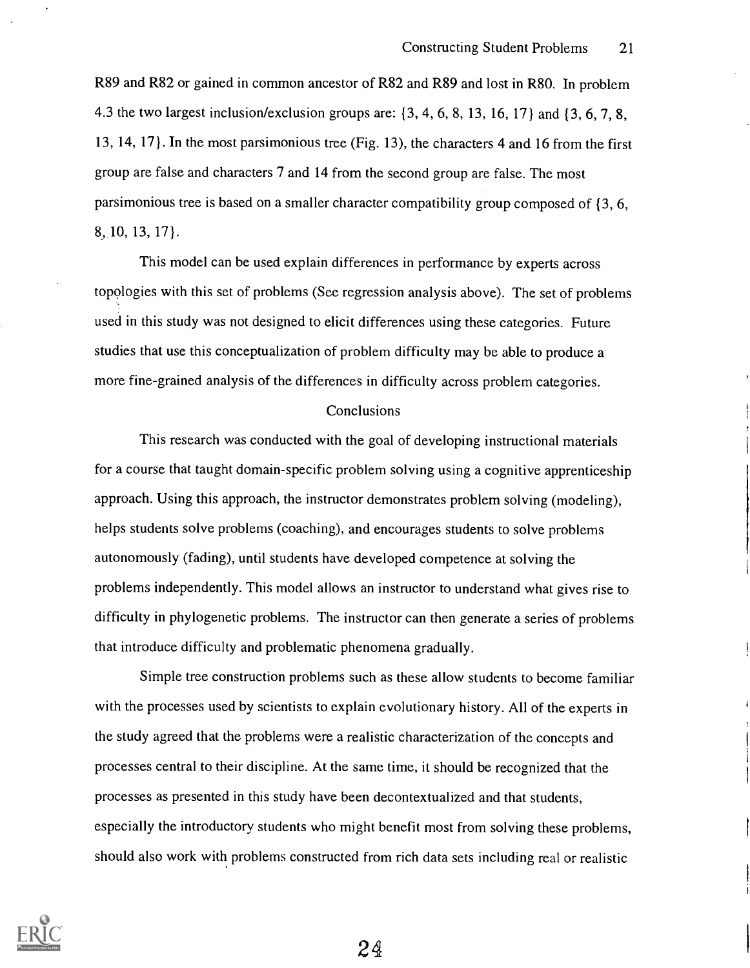R89 and R82 or gained in common ancestor of R82 and R89 and lost in R80. In problem 4.3 the two largest inclusion/exclusion groups are: {3, 4, 6, 8, 13, 16, 17) and {3, 6, 7, 8, 13, 14, 17 }. In the most parsimonious tree (Fig. 13), the characters 4 and 16 from the first group are false and characters 7 and 14 from the second group are false. The most parsimonious tree is based on a smaller character compatibility group composed of { 3, 6, 8,.10, 13, 17 }.

This model can be used explain differences in performance by experts across topologies with this set of problems (See regression analysis above). The set of problems used in this study was not designed to elicit differences using these categories. Future studies that use this conceptualization of problem difficulty may be able to produce a more fine-grained analysis of the differences in difficulty across problem categories.

#### Conclusions

This research was conducted with the goal of developing instructional materials for a course that taught domain-specific problem solving using a cognitive apprenticeship approach. Using this approach, the instructor demonstrates problem solving (modeling), helps students solve problems (coaching), and encourages students to solve problems autonomously (fading), until students have developed competence at solving the problems independently. This model allows an instructor to understand what gives rise to difficulty in phylogenetic problems. The instructor can then generate a series of problems that introduce difficulty and problematic phenomena gradually.

Simple tree construction problems such as these allow students to become familiar with the processes used by scientists to explain evolutionary history. All of the experts in the study agreed that the problems were a realistic characterization of the concepts and processes central to their discipline. At the same time, it should be recognized that the processes as presented in this study have been decontextualized and that students, especially the introductory students who might benefit most from solving these problems, should also work with problems constructed from rich data sets including real or realistic

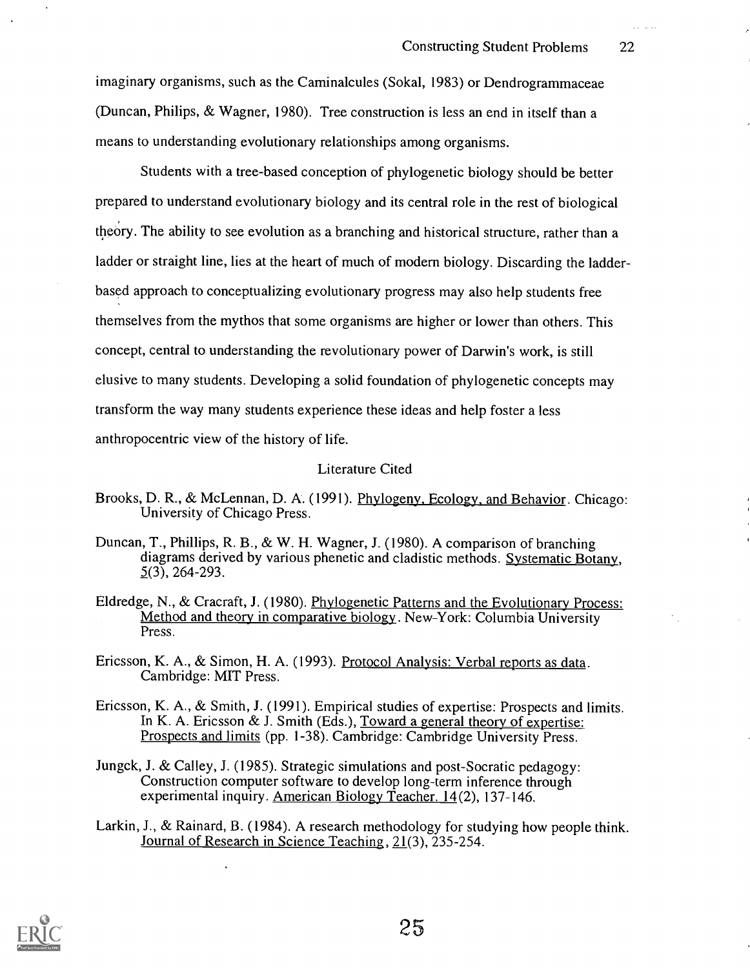imaginary organisms, such as the Caminalcules (Sokal, 1983) or Dendrogrammaceae (Duncan, Philips, & Wagner, 1980). Tree construction is less an end in itself than a means to understanding evolutionary relationships among organisms.

Students with a tree-based conception of phylogenetic biology should be better prepared to understand evolutionary biology and its central role in the rest of biological theory. The ability to see evolution as a branching and historical structure, rather than a ladder or straight line, lies at the heart of much of modern biology. Discarding the ladderbased approach to conceptualizing evolutionary progress may also help students free themselves from the mythos that some organisms are higher or lower than others. This concept, central to understanding the revolutionary power of Darwin's work, is still elusive to many students. Developing a solid foundation of phylogenetic concepts may transform the way many students experience these ideas and help foster a less anthropocentric view of the history of life.

#### Literature Cited

- Brooks, D. R., & McLennan, D. A. (1991). Phylogeny, Ecology, and Behavior. Chicago: University of Chicago Press.
- Duncan, T., Phillips, R. B., & W. H. Wagner, J. (1980). A comparison of branching diagrams derived by various phenetic and cladistic methods. Systematic Botany, 5(3), 264-293.
- Eldredge, N., & Cracraft, J. (1980). Phylogenetic Patterns and the Evolutionary Process: Method and theory in comparative biology. New-York: Columbia University Press.
- Ericsson, K. A., & Simon, H. A. (1993). Protocol Analysis: Verbal reports as data. Cambridge: MIT Press.
- Ericsson, K. A., & Smith, J. (1991). Empirical studies of expertise: Prospects and limits. In K. A. Ericsson  $\&$  J. Smith (Eds.), Toward a general theory of expertise: Prospects and limits (pp. 1-38). Cambridge: Cambridge University Press.
- Jungck, J. & Calley, J. (1985). Strategic simulations and post-Socratic pedagogy: Construction computer software to develop long-term inference through experimental inquiry. American Biology Teacher. 14(2), 137-146.
- Larkin, J., & Rainard, B. (1984). A research methodology for studying how people think. Journal of Research in Science Teaching, 21(3), 235-254.

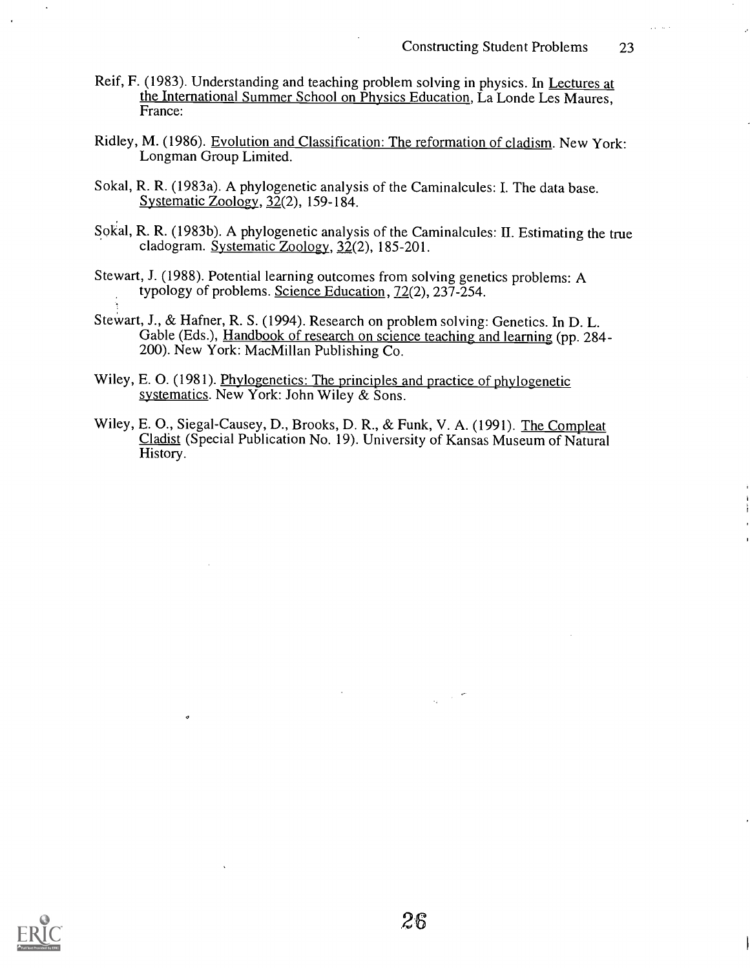- Reif, F. (1983). Understanding and teaching problem solving in physics. In Lectures at the International Summer School on Physics Education, La Londe Les Maures, France:
- Ridley, M. (1986). Evolution and Classification: The reformation of cladism. New York: Longman Group Limited.
- Sokal, R. R. (1983a). A phylogenetic analysis of the Caminalcules: I. The data base. Systematic Zoology, 32(2), 159-184.
- Sokal, R. R. (1983b). A phylogenetic analysis of the Caminalcules: H. Estimating the true cladogram. Systematic Zoology, 32(2), 185-201.
- Stewart, J. (1988). Potential learning outcomes from solving genetics problems: A typology of problems. Science Education, 72(2), 237-254.
- Stewart, J., & Hafner, R. S. (1994). Research on problem solving: Genetics. In D. L. Gable (Eds.), Handbook of research on science teaching and learning (pp. 284-200). New York: MacMillan Publishing Co.
- Wiley, E. 0. (1981). Phylogenetics: The principles and practice of phylogenetic systematics. New York: John Wiley & Sons.
- Wiley, E. 0., Siegal-Causey, D., Brooks, D. R., & Funk, V. A. (1991). The Compleat Cladist (Special Publication No. 19). University of Kansas Museum of Natural History.

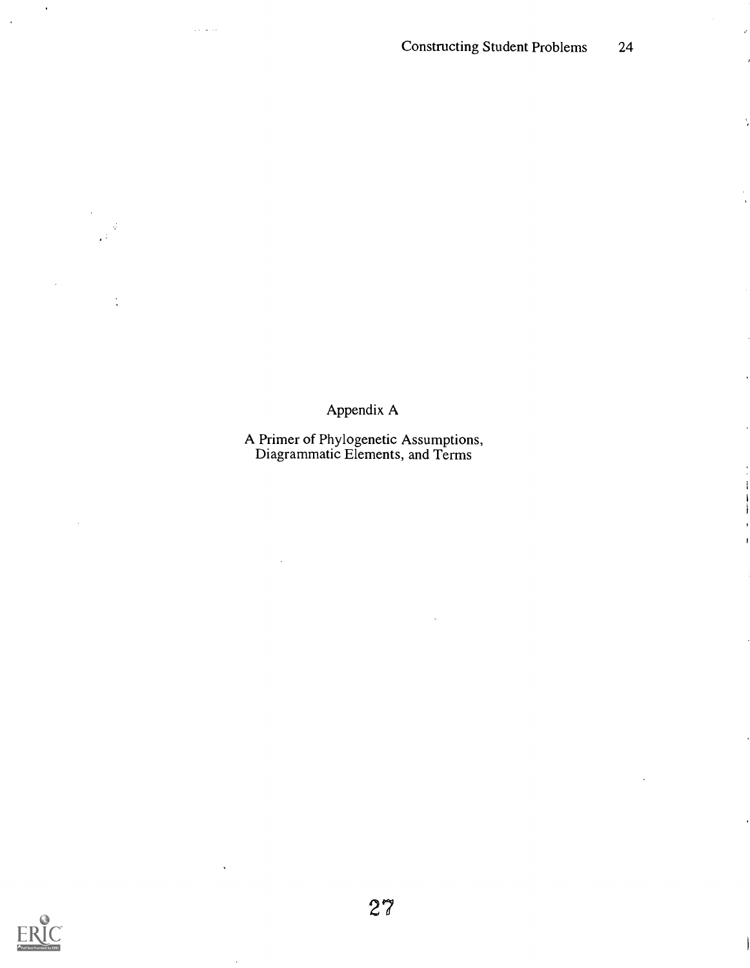$\mathcal{C}$ 

Appendix A

A Primer of Phylogenetic Assumptions, Diagrammatic Elements, and Terms



 $\ddot{\phantom{a}}$ 

 $\frac{1}{2}$ 

 $\sim$ 

 $\overline{\phantom{a}}$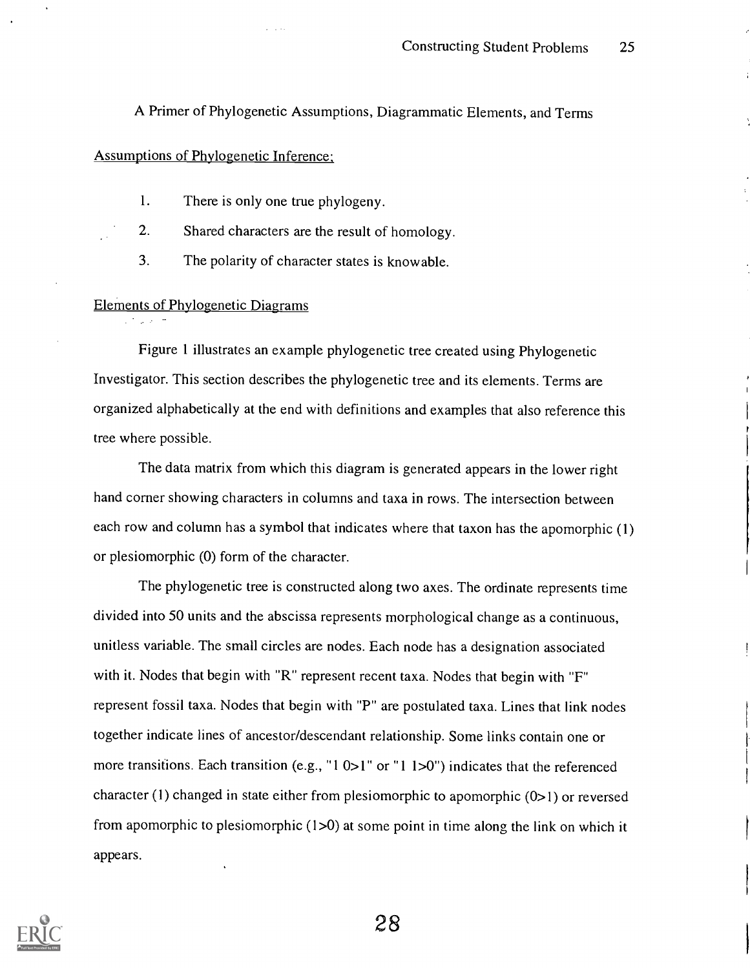A Primer of Phylogenetic Assumptions, Diagrammatic Elements, and Terms

### Assumptions of Phylogenetic Inference;

- 1. There is only one true phylogeny.
- 2. Shared characters are the result of homology.
	- 3. The polarity of character states is knowable.

### Elements of Phylogenetic Diagrams

Figure 1 illustrates an example phylogenetic tree created using Phylogenetic Investigator. This section describes the phylogenetic tree and its elements. Terms are organized alphabetically at the end with definitions and examples that also reference this tree where possible.

The data matrix from which this diagram is generated appears in the lower right hand corner showing characters in columns and taxa in rows. The intersection between each row and column has a symbol that indicates where that taxon has the apomorphic (1) or plesiomorphic (0) form of the character.

The phylogenetic tree is constructed along two axes. The ordinate represents time divided into 50 units and the abscissa represents morphological change as a continuous, unitless variable. The small circles are nodes. Each node has a designation associated with it. Nodes that begin with "R" represent recent taxa. Nodes that begin with "F" represent fossil taxa. Nodes that begin with "P" are postulated taxa. Lines that link nodes together indicate lines of ancestor/descendant relationship. Some links contain one or more transitions. Each transition (e.g., "1 0>1" or "1 1 >0") indicates that the referenced character (1) changed in state either from plesiomorphic to apomorphic  $(0>1)$  or reversed from apomorphic to plesiomorphic  $(1>0)$  at some point in time along the link on which it appears.

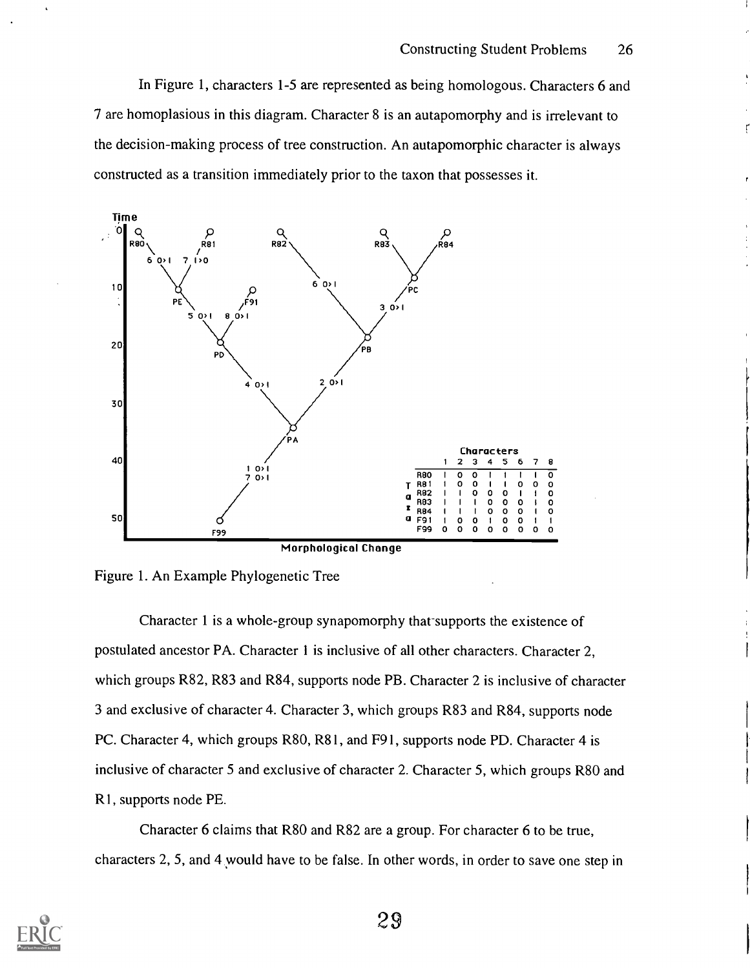ŗ

In Figure 1, characters 1-5 are represented as being homologous. Characters 6 and 7 are homoplasious in this diagram. Character 8 is an autapomorphy and is irrelevant to the decision-making process of tree construction. An autapomorphic character is always constructed as a transition immediately prior to the taxon that possesses it.



Figure 1. An Example Phylogenetic Tree

Character 1 is a whole-group synapomorphy that-supports the existence of postulated ancestor PA. Character 1 is inclusive of all other characters. Character 2, which groups R82, R83 and R84, supports node PB. Character 2 is inclusive of character 3 and exclusive of character 4. Character 3, which groups R83 and R84, supports node PC. Character 4, which groups R80, R81, and F91, supports node PD. Character 4 is inclusive of character 5 and exclusive of character 2. Character 5, which groups R80 and R 1, supports node PE.

Character 6 claims that R80 and R82 are a group. For character 6 to be true, characters 2, 5, and 4 would have to be false. In other words, in order to save one step in

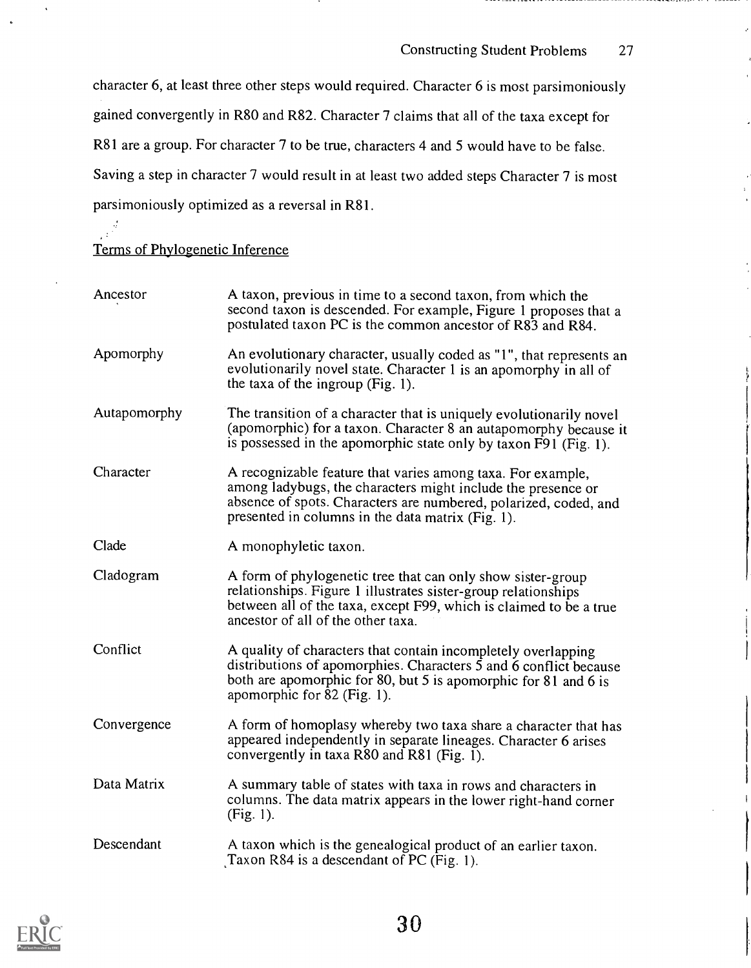Constructing Student Problems 27

character 6, at least three other steps would required. Character 6 is most parsimoniously gained convergently in R80 and R82. Character 7 claims that all of the taxa except for R81 are a group. For character 7 to be true, characters 4 and 5 would have to be false. Saving a step in character 7 would result in at least two added steps Character 7 is most parsimoniously optimized as a reversal in R81.

# $\mathbb{R}^{\frac{d}{2}}$ Terms of Phylogenetic Inference

| Ancestor     | A taxon, previous in time to a second taxon, from which the<br>second taxon is descended. For example, Figure 1 proposes that a<br>postulated taxon PC is the common ancestor of R83 and R84.                                                        |  |  |
|--------------|------------------------------------------------------------------------------------------------------------------------------------------------------------------------------------------------------------------------------------------------------|--|--|
| Apomorphy    | An evolutionary character, usually coded as "1", that represents an<br>evolutionarily novel state. Character 1 is an apomorphy in all of<br>the taxa of the ingroup $(Fig. 1)$ .                                                                     |  |  |
| Autapomorphy | The transition of a character that is uniquely evolutionarily novel<br>(apomorphic) for a taxon. Character 8 an autapomorphy because it<br>is possessed in the apomorphic state only by taxon F91 (Fig. 1).                                          |  |  |
| Character    | A recognizable feature that varies among taxa. For example,<br>among ladybugs, the characters might include the presence or<br>absence of spots. Characters are numbered, polarized, coded, and<br>presented in columns in the data matrix (Fig. 1). |  |  |
| Clade        | A monophyletic taxon.                                                                                                                                                                                                                                |  |  |
| Cladogram    | A form of phylogenetic tree that can only show sister-group<br>relationships. Figure 1 illustrates sister-group relationships<br>between all of the taxa, except F99, which is claimed to be a true<br>ancestor of all of the other taxa.            |  |  |
| Conflict     | A quality of characters that contain incompletely overlapping<br>distributions of apomorphies. Characters 5 and 6 conflict because<br>both are apomorphic for 80, but 5 is apomorphic for 81 and 6 is<br>apomorphic for 82 (Fig. 1).                 |  |  |
| Convergence  | A form of homoplasy whereby two taxa share a character that has<br>appeared independently in separate lineages. Character 6 arises<br>convergently in taxa R80 and R81 (Fig. 1).                                                                     |  |  |
| Data Matrix  | A summary table of states with taxa in rows and characters in<br>columns. The data matrix appears in the lower right-hand corner<br>(Fig. 1).                                                                                                        |  |  |
| Descendant   | A taxon which is the genealogical product of an earlier taxon.<br>Taxon $R84$ is a descendant of PC (Fig. 1).                                                                                                                                        |  |  |

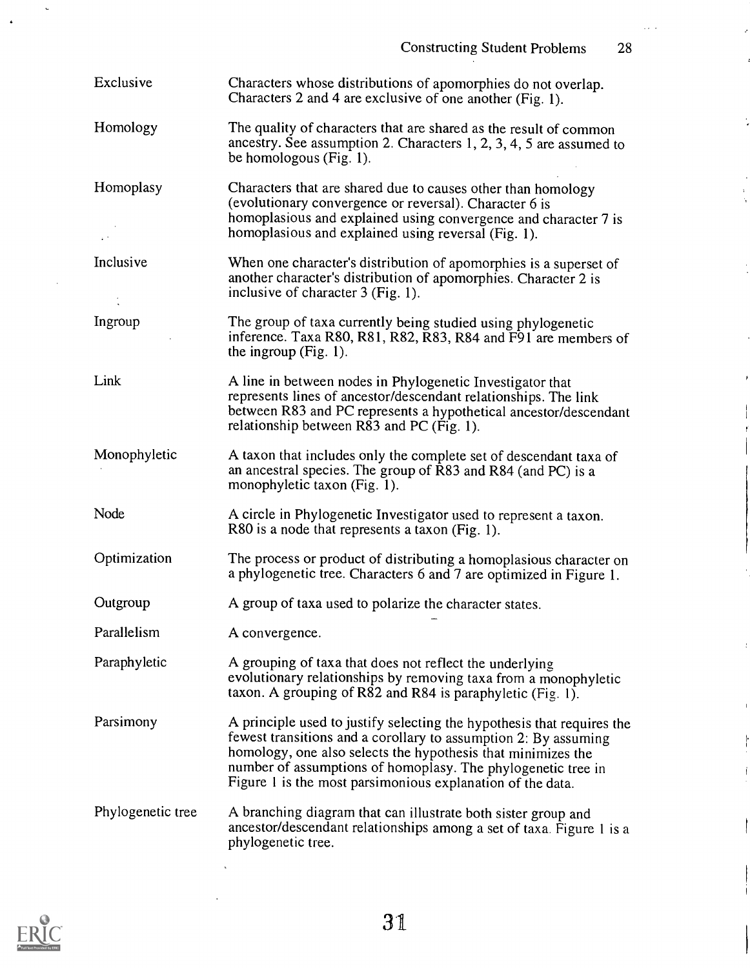$\mathbb{R}^n$ 

 $\hat{\vec{r}}$ 

J.

í,

 $\ddot{\cdot}$ 

| Exclusive         | Characters whose distributions of apomorphies do not overlap.<br>Characters 2 and 4 are exclusive of one another (Fig. 1).                                                                                                                                                                                                              |  |  |  |
|-------------------|-----------------------------------------------------------------------------------------------------------------------------------------------------------------------------------------------------------------------------------------------------------------------------------------------------------------------------------------|--|--|--|
| Homology          | The quality of characters that are shared as the result of common<br>ancestry. See assumption 2. Characters 1, 2, 3, 4, 5 are assumed to<br>be homologous (Fig. 1).                                                                                                                                                                     |  |  |  |
| Homoplasy         | Characters that are shared due to causes other than homology<br>(evolutionary convergence or reversal). Character 6 is<br>homoplasious and explained using convergence and character 7 is<br>homoplasious and explained using reversal (Fig. 1).                                                                                        |  |  |  |
| Inclusive         | When one character's distribution of apomorphies is a superset of<br>another character's distribution of apomorphies. Character 2 is<br>inclusive of character 3 (Fig. 1).                                                                                                                                                              |  |  |  |
| Ingroup           | The group of taxa currently being studied using phylogenetic<br>inference. Taxa R80, R81, R82, R83, R84 and F91 are members of<br>the ingroup $(Fig. 1)$ .                                                                                                                                                                              |  |  |  |
| Link              | A line in between nodes in Phylogenetic Investigator that<br>represents lines of ancestor/descendant relationships. The link<br>between R83 and PC represents a hypothetical ancestor/descendant<br>relationship between R83 and PC (Fig. 1).                                                                                           |  |  |  |
| Monophyletic      | A taxon that includes only the complete set of descendant taxa of<br>an ancestral species. The group of R83 and R84 (and PC) is a<br>monophyletic taxon (Fig. 1).                                                                                                                                                                       |  |  |  |
| Node              | A circle in Phylogenetic Investigator used to represent a taxon.<br>R80 is a node that represents a taxon (Fig. 1).                                                                                                                                                                                                                     |  |  |  |
| Optimization      | The process or product of distributing a homoplasious character on<br>a phylogenetic tree. Characters 6 and 7 are optimized in Figure 1.                                                                                                                                                                                                |  |  |  |
| Outgroup          | A group of taxa used to polarize the character states.                                                                                                                                                                                                                                                                                  |  |  |  |
| Parallelism       | A convergence.                                                                                                                                                                                                                                                                                                                          |  |  |  |
| Paraphyletic      | A grouping of taxa that does not reflect the underlying<br>evolutionary relationships by removing taxa from a monophyletic<br>taxon. A grouping of R82 and R84 is paraphyletic (Fig. 1).                                                                                                                                                |  |  |  |
| Parsimony         | A principle used to justify selecting the hypothesis that requires the<br>fewest transitions and a corollary to assumption 2: By assuming<br>homology, one also selects the hypothesis that minimizes the<br>number of assumptions of homoplasy. The phylogenetic tree in<br>Figure 1 is the most parsimonious explanation of the data. |  |  |  |
| Phylogenetic tree | A branching diagram that can illustrate both sister group and<br>ancestor/descendant relationships among a set of taxa. Figure 1 is a<br>phylogenetic tree.                                                                                                                                                                             |  |  |  |



 $\ddot{\phantom{a}}$ 

 $\ddot{\phantom{1}}$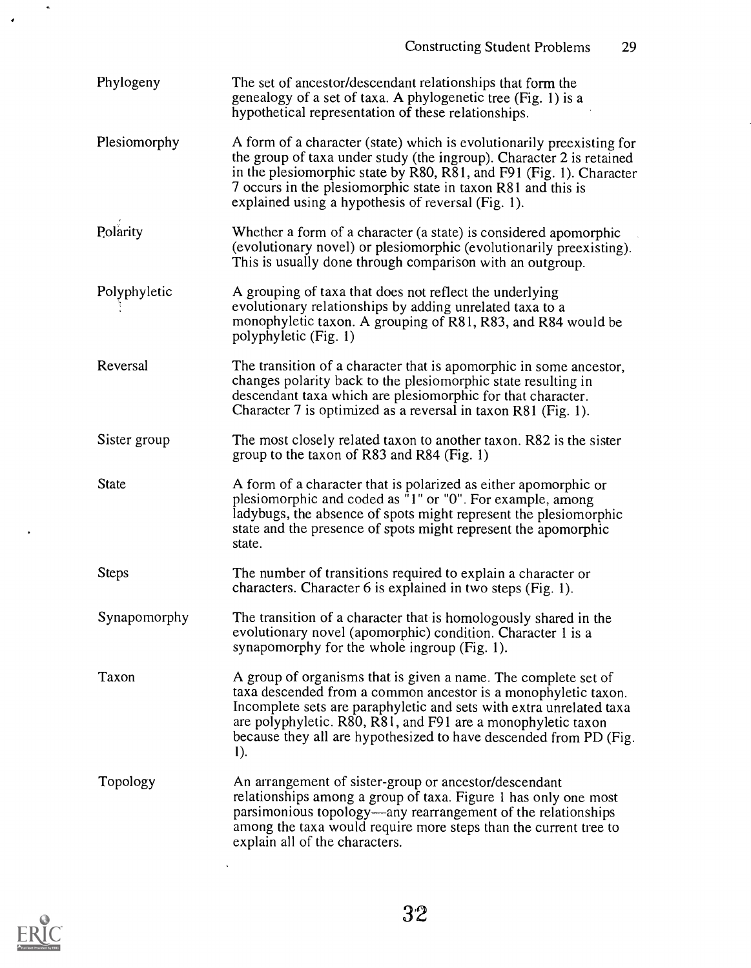| Phylogeny    | The set of ancestor/descendant relationships that form the<br>genealogy of a set of taxa. A phylogenetic tree (Fig. 1) is a<br>hypothetical representation of these relationships.                                                                                                                                                                  |  |  |  |
|--------------|-----------------------------------------------------------------------------------------------------------------------------------------------------------------------------------------------------------------------------------------------------------------------------------------------------------------------------------------------------|--|--|--|
| Plesiomorphy | A form of a character (state) which is evolutionarily preexisting for<br>the group of taxa under study (the ingroup). Character 2 is retained<br>in the plesiomorphic state by R80, R81, and F91 (Fig. 1). Character<br>7 occurs in the plesiomorphic state in taxon R81 and this is<br>explained using a hypothesis of reversal (Fig. 1).          |  |  |  |
| Polarity     | Whether a form of a character (a state) is considered apomorphic<br>(evolutionary novel) or plesiomorphic (evolutionarily preexisting).<br>This is usually done through comparison with an outgroup.                                                                                                                                                |  |  |  |
| Polyphyletic | A grouping of taxa that does not reflect the underlying<br>evolutionary relationships by adding unrelated taxa to a<br>monophyletic taxon. A grouping of R81, R83, and R84 would be<br>polyphyletic (Fig. 1)                                                                                                                                        |  |  |  |
| Reversal     | The transition of a character that is apomorphic in some ancestor,<br>changes polarity back to the plesiomorphic state resulting in<br>descendant taxa which are plesiomorphic for that character.<br>Character 7 is optimized as a reversal in taxon R81 (Fig. 1).                                                                                 |  |  |  |
| Sister group | The most closely related taxon to another taxon. R82 is the sister<br>group to the taxon of R83 and R84 (Fig. 1)                                                                                                                                                                                                                                    |  |  |  |
| <b>State</b> | A form of a character that is polarized as either apomorphic or<br>plesiomorphic and coded as "1" or "0". For example, among<br>ladybugs, the absence of spots might represent the plesiomorphic<br>state and the presence of spots might represent the apomorphic<br>state.                                                                        |  |  |  |
| <b>Steps</b> | The number of transitions required to explain a character or<br>characters. Character 6 is explained in two steps (Fig. 1).                                                                                                                                                                                                                         |  |  |  |
| Synapomorphy | The transition of a character that is homologously shared in the<br>evolutionary novel (apomorphic) condition. Character 1 is a<br>synapomorphy for the whole ingroup (Fig. 1).                                                                                                                                                                     |  |  |  |
| Taxon        | A group of organisms that is given a name. The complete set of<br>taxa descended from a common ancestor is a monophyletic taxon.<br>Incomplete sets are paraphyletic and sets with extra unrelated taxa<br>are polyphyletic. R80, R81, and F91 are a monophyletic taxon<br>because they all are hypothesized to have descended from PD (Fig.<br>1). |  |  |  |
| Topology     | An arrangement of sister-group or ancestor/descendant<br>relationships among a group of taxa. Figure 1 has only one most<br>parsimonious topology—any rearrangement of the relationships<br>among the taxa would require more steps than the current tree to<br>explain all of the characters.                                                      |  |  |  |



 $\bullet$ 

 $\mathcal{L}^{\text{max}}_{\text{max}}$ 

 $\mathcal{A}$ 

 $\hat{\mathbf{v}}$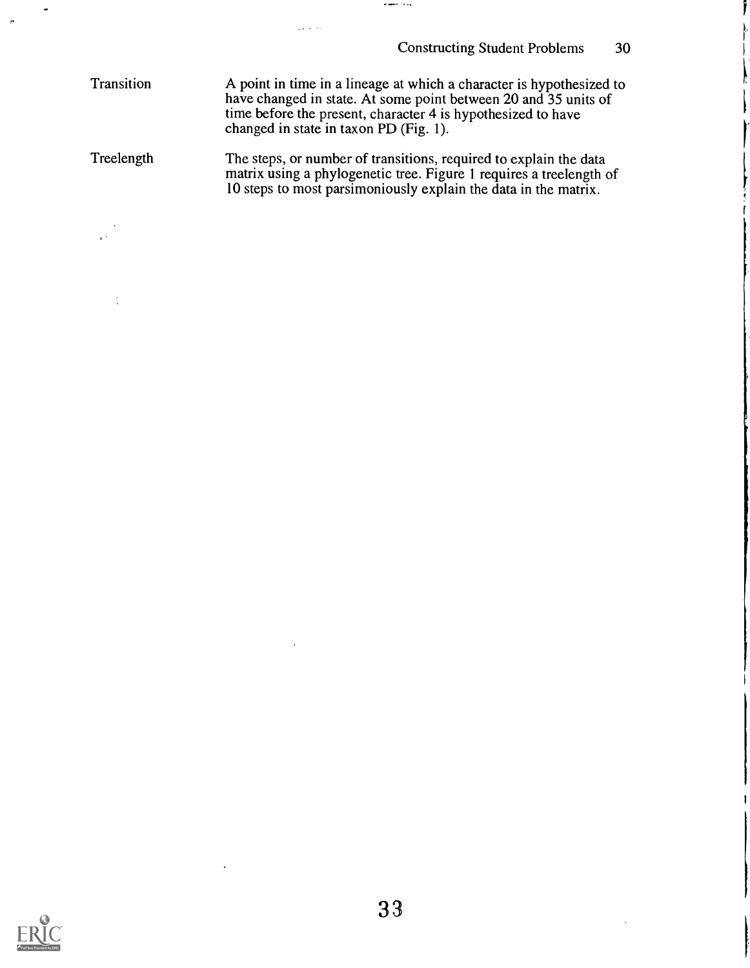**Transition** A point in time in a lineage at which a character is hypothesized to have changed in state. At some point between 20 and 35 units of time before the present, character 4 is hypothesized to have changed in state in taxon PD (Fig. 1).

 $\Delta\sim 10^{-1}$  km

 $\bullet$  and  $\bullet$  .  $\bullet$ 

**Treelength** The steps, or number of transitions, required to explain the data matrix using a phylogenetic tree. Figure 1 requires a treelength of 10 steps to most parsimoniously explain the data in the matrix.

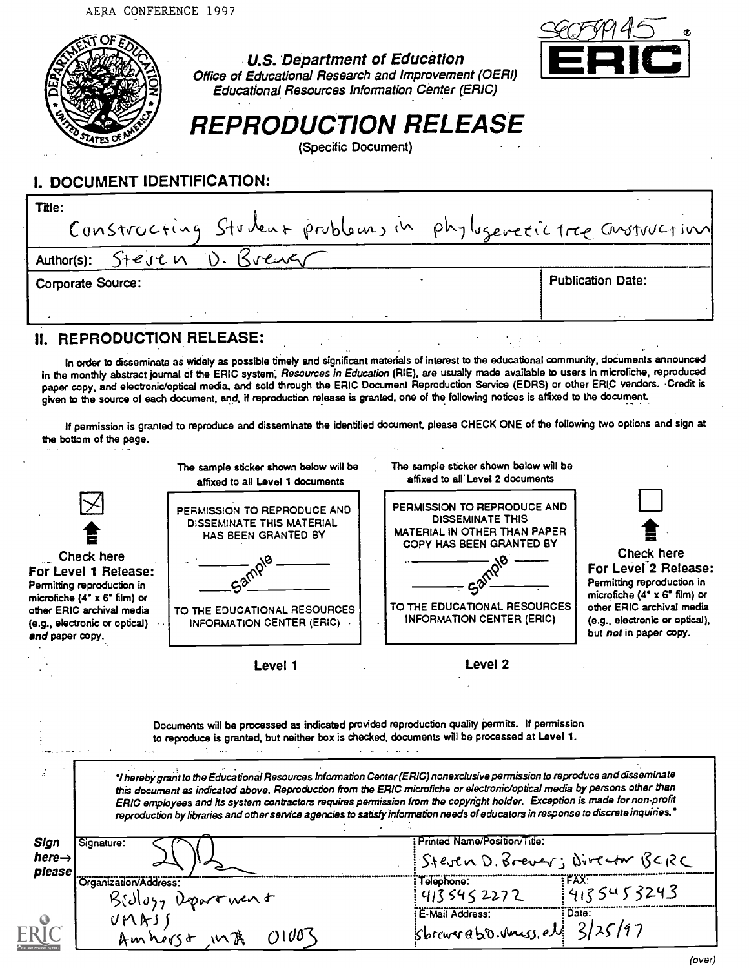



## U.S. Department of Education Office of Educational Research and Improvement (OERI) Educational Resources Information Center (ERIC)

# REPRODUCTION RELEASE

(Specific Document)

# I. DOCUMENT IDENTIFICATION:

| Title:                                                          |                          |
|-----------------------------------------------------------------|--------------------------|
| Constructing Student problems in phylogenetic tree construction |                          |
| Author(s): $Sf$ esen D. $Svev$                                  |                          |
| Corporate Source:                                               | <b>Publication Date:</b> |
|                                                                 |                          |

## **II. REPRODUCTION RELEASE:**

In order to disseminate as widely as possible timely and significant materials of interest to the educational community, documents announced in the monthly abstract journal of the ERIC system, Resources in Education (RIE), are usually made available to users in microfiche, reproduced paper copy, and electronic/optical media, and sold through the ERIC Document Reproduction Service (EDRS) or other ERIC vendors. Credit is given to the source of each document, and, if reproduction release is granted, one of the following notices is affixed to the document . \_

If permission is granted to reproduce and disseminate the identified document, please CHECK ONE of the following two options and sign at the bottom of the page.

|                                                                                                                                                                                   | The sample sticker shown below will be<br>affixed to all Level 1 documents                                                                                                                                                                                                                                                                                                                                                                                                                                                                                                                                                                                                                                                   | The sample sticker shown below will be<br>affixed to all Level 2 documents                                                                                                                    |                                                                                                                                                                                                                |
|-----------------------------------------------------------------------------------------------------------------------------------------------------------------------------------|------------------------------------------------------------------------------------------------------------------------------------------------------------------------------------------------------------------------------------------------------------------------------------------------------------------------------------------------------------------------------------------------------------------------------------------------------------------------------------------------------------------------------------------------------------------------------------------------------------------------------------------------------------------------------------------------------------------------------|-----------------------------------------------------------------------------------------------------------------------------------------------------------------------------------------------|----------------------------------------------------------------------------------------------------------------------------------------------------------------------------------------------------------------|
| Check here<br>For Level 1 Release:<br>Permitting reproduction in<br>microfiche (4° x 6° film) or<br>other ERIC archival media<br>(e.g., electronic or optical)<br>and paper copy. | PERMISSION TO REPRODUCE AND<br><b>DISSEMINATE THIS MATERIAL</b><br>HAS BEEN GRANTED BY<br>TO THE EDUCATIONAL RESOURCES<br>INFORMATION CENTER (ERIC)                                                                                                                                                                                                                                                                                                                                                                                                                                                                                                                                                                          | PERMISSION TO REPRODUCE AND<br><b>DISSEMINATE THIS</b><br><b>MATERIAL IN OTHER THAN PAPER</b><br>COPY HAS BEEN GRANTED BY<br>TO THE EDUCATIONAL RESOURCES<br><b>INFORMATION CENTER (ERIC)</b> | Check here<br>For Level 2 Release:<br>Permitting reproduction in<br>microfiche $(4^{\circ} \times 6^{\circ}$ film) or<br>other ERIC archival media<br>(e.g., electronic or optical),<br>but not in paper copy. |
|                                                                                                                                                                                   | Level 1                                                                                                                                                                                                                                                                                                                                                                                                                                                                                                                                                                                                                                                                                                                      | Level <sub>2</sub>                                                                                                                                                                            |                                                                                                                                                                                                                |
|                                                                                                                                                                                   | Documents will be processed as indicated provided reproduction quality permits. If permission<br>to reproduce is granted, but neither box is checked, documents will be processed at Level 1.<br>"I hereby grant to the Educational Resources Information Center (ERIC) nonexclusive permission to reproduce and disseminate<br>this document as indicated above. Reproduction from the ERIC microfiche or electronic/optical media by persons other than<br>ERIC employees and its system contractors requires permission from the copyright holder. Exception is made for non-profit<br>reproduction by libraries and other service agencies to satisfy information needs of educators in response to discrete inquiries." |                                                                                                                                                                                               |                                                                                                                                                                                                                |
| Sign<br>Signature:                                                                                                                                                                |                                                                                                                                                                                                                                                                                                                                                                                                                                                                                                                                                                                                                                                                                                                              | Printed Name/Position/Title:                                                                                                                                                                  |                                                                                                                                                                                                                |
| here $\rightarrow$<br>please                                                                                                                                                      |                                                                                                                                                                                                                                                                                                                                                                                                                                                                                                                                                                                                                                                                                                                              | $S$ teutn D. Brever; Director $B$ CRC                                                                                                                                                         |                                                                                                                                                                                                                |
| Organization/Address:                                                                                                                                                             | Billoy, Department                                                                                                                                                                                                                                                                                                                                                                                                                                                                                                                                                                                                                                                                                                           | Telephone: FAX:<br>413 545 2272 413 545 3243                                                                                                                                                  |                                                                                                                                                                                                                |
| UMASS                                                                                                                                                                             | (11007<br>Amhorst InA                                                                                                                                                                                                                                                                                                                                                                                                                                                                                                                                                                                                                                                                                                        | E-Mail Address:<br>: Date:<br>$ S$ brewer abro. uness. el $3/25/97$                                                                                                                           |                                                                                                                                                                                                                |
|                                                                                                                                                                                   |                                                                                                                                                                                                                                                                                                                                                                                                                                                                                                                                                                                                                                                                                                                              |                                                                                                                                                                                               | (over)                                                                                                                                                                                                         |